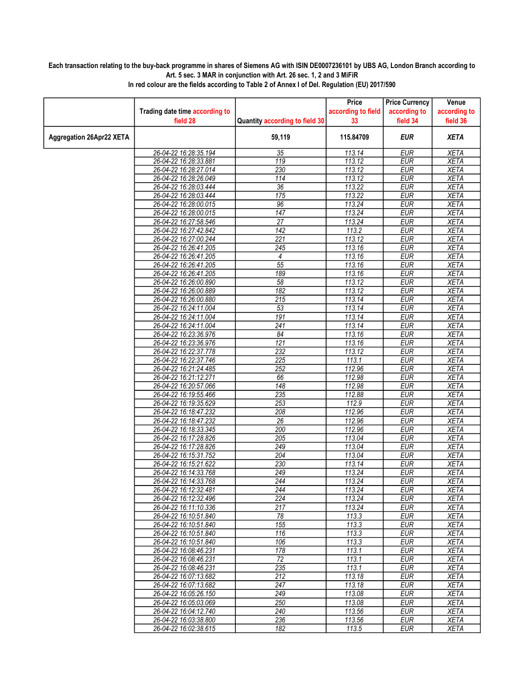## Each transaction relating to the buy-back programme in shares of Siemens AG with ISIN DE0007236101 by UBS AG, London Branch according to Art. 5 sec. 3 MAR in conjunction with Art. 26 sec. 1, 2 and 3 MiFiR

|                                 |                                |                                | Price              | <b>Price Currency</b> | Venue        |
|---------------------------------|--------------------------------|--------------------------------|--------------------|-----------------------|--------------|
|                                 | Trading date time according to |                                | according to field | according to          | according to |
|                                 | field 28                       | Quantity according to field 30 | 33                 | field 34              | field 36     |
| <b>Aggregation 26Apr22 XETA</b> |                                | 59,119                         | 115.84709          | <b>EUR</b>            | <b>XETA</b>  |
|                                 | 26-04-22 16:28:35.194          | 35                             | 113.14             | <b>EUR</b>            | <b>XETA</b>  |
|                                 | 26-04-22 16:28:33.881          | 119                            | 113.12             | <b>EUR</b>            | <b>XETA</b>  |
|                                 | 26-04-22 16:28:27.014          | 230                            | 113.12             | <b>EUR</b>            | <b>XETA</b>  |
|                                 | 26-04-22 16:28:26.049          | 114                            | 113.12             | <b>EUR</b>            | <b>XETA</b>  |
|                                 | 26-04-22 16:28:03.444          | 36                             | 113.22             | <b>EUR</b>            | <b>XETA</b>  |
|                                 | 26-04-22 16:28:03.444          | 175                            | 113.22             | <b>EUR</b>            | <b>XETA</b>  |
|                                 | 26-04-22 16:28:00.015          | 96                             | 113.24             | <b>EUR</b>            | <b>XETA</b>  |
|                                 | 26-04-22 16:28:00.015          | 147                            | 113.24             | <b>EUR</b>            | <b>XETA</b>  |
|                                 | 26-04-22 16:27:58.546          | 27                             | 113.24             | <b>EUR</b>            | <b>XETA</b>  |
|                                 | 26-04-22 16:27:42.842          | 142                            | 113.2              | <b>EUR</b>            | <b>XETA</b>  |
|                                 | 26-04-22 16:27:00.244          | 221                            | 113.12             | <b>EUR</b>            | <b>XETA</b>  |
|                                 | 26-04-22 16:26:41.205          | 245                            | 113.16             | <b>EUR</b>            | <b>XETA</b>  |
|                                 | 26-04-22 16:26:41.205          | 4                              | 113.16             | <b>EUR</b>            | <b>XETA</b>  |
|                                 | 26-04-22 16:26:41.205          | 55                             | 113.16             | <b>EUR</b>            | <b>XETA</b>  |
|                                 | 26-04-22 16:26:41.205          | 189                            | 113.16             | <b>EUR</b>            | <b>XETA</b>  |
|                                 | 26-04-22 16:26:00.890          | $\overline{58}$                | 113.12             | <b>EUR</b>            | <b>XETA</b>  |
|                                 | 26-04-22 16:26:00.889          | 182                            | 113.12             | <b>EUR</b>            | <b>XETA</b>  |
|                                 | 26-04-22 16:26:00.880          | $\overline{215}$               | 113.14             | <b>EUR</b>            | <b>XETA</b>  |
|                                 | 26-04-22 16:24:11.004          | 53                             | 113.14             | <b>EUR</b>            | <b>XETA</b>  |
|                                 | 26-04-22 16:24:11.004          | 191                            | 113.14             | <b>EUR</b>            | <b>XETA</b>  |
|                                 | 26-04-22 16:24:11.004          | 241                            | 113.14             | <b>EUR</b>            | <b>XETA</b>  |
|                                 | 26-04-22 16:23:36.976          | 84                             | 113.16             | <b>EUR</b>            | <b>XETA</b>  |
|                                 | 26-04-22 16:23:36.976          | 121                            | 113.16             | <b>EUR</b>            | <b>XETA</b>  |
|                                 | 26-04-22 16:22:37.778          | 232                            | 113.12             | <b>EUR</b>            | <b>XETA</b>  |
|                                 | 26-04-22 16:22:37.746          | 225                            | 113.1              | <b>EUR</b>            | <b>XETA</b>  |
|                                 | 26-04-22 16:21:24.485          | $\overline{252}$               | 112.96             | <b>EUR</b>            | <b>XETA</b>  |
|                                 | 26-04-22 16:21:12.271          | 66                             | 112.98             | <b>EUR</b>            | <b>XETA</b>  |
|                                 | 26-04-22 16:20:57.066          | $\overline{148}$               | 112.98             | <b>EUR</b>            | <b>XETA</b>  |
|                                 | 26-04-22 16:19:55.466          | 235                            | 112.88             | <b>EUR</b>            | <b>XETA</b>  |
|                                 | 26-04-22 16:19:35.629          | 253                            | 112.9              | <b>EUR</b>            | <b>XETA</b>  |
|                                 | 26-04-22 16:18:47.232          | 208                            | 112.96             | <b>EUR</b>            | <b>XETA</b>  |
|                                 | 26-04-22 16:18:47.232          | $\overline{26}$                | 112.96             | <b>EUR</b>            | <b>XETA</b>  |
|                                 | 26-04-22 16:18:33.345          | 200                            | 112.96             | <b>EUR</b>            | <b>XETA</b>  |
|                                 | 26-04-22 16:17:28.826          | $\overline{205}$               | 113.04             | <b>EUR</b>            | <b>XETA</b>  |
|                                 | 26-04-22 16:17:28.826          | 249                            | 113.04             | <b>EUR</b>            | <b>XETA</b>  |
|                                 | 26-04-22 16:15:31.752          | 204                            | 113.04             | <b>EUR</b>            | <b>XETA</b>  |
|                                 | 26-04-22 16:15:21.622          | 230                            | 113.14             | <b>EUR</b>            | <b>XETA</b>  |
|                                 | 26-04-22 16:14:33.768          | 249                            | 113.24             | <b>EUR</b>            | <b>XETA</b>  |
|                                 | 26-04-22 16:14:33.768          | 244                            | 113.24             | <b>EUR</b>            | <b>XETA</b>  |
|                                 | 26-04-22 16:12:32.481          | 244                            | 113.24             | <b>EUR</b>            | <b>XETA</b>  |
|                                 | 26-04-22 16:12:32.496          | 224                            | 113.24             | EUR                   | XETA         |
|                                 | 26-04-22 16:11:10.336          | $\overline{217}$               | 113.24             | <b>EUR</b>            | <b>XETA</b>  |
|                                 | 26-04-22 16:10:51.840          | $\overline{78}$                | 113.3              | <b>EUR</b>            | <b>XETA</b>  |
|                                 | 26-04-22 16:10:51.840          | 155                            | 113.3              | <b>EUR</b>            | <b>XETA</b>  |
|                                 | 26-04-22 16:10:51.840          | 116                            | 113.3              | <b>EUR</b>            | <b>XETA</b>  |
|                                 | 26-04-22 16:10:51.840          | 106                            | 113.3              | <b>EUR</b>            | <b>XETA</b>  |
|                                 | 26-04-22 16:08:46.231          | 178                            | 113.1              | EUR                   | <b>XETA</b>  |
|                                 | 26-04-22 16:08:46.231          | $\overline{72}$                | 113.1              | <b>EUR</b>            | <b>XETA</b>  |
|                                 | 26-04-22 16:08:46.231          | 235                            | 113.1              | <b>EUR</b>            | <b>XETA</b>  |
|                                 | 26-04-22 16:07:13.682          | 212                            | 113.18             | <b>EUR</b>            | <b>XETA</b>  |
|                                 | 26-04-22 16:07:13.682          | $\overline{247}$               | 113.18             | <b>EUR</b>            | <b>XETA</b>  |
|                                 | 26-04-22 16:05:26.150          | 249                            | 113.08             | EUR                   | <b>XETA</b>  |
|                                 | 26-04-22 16:05:03.069          | 250                            | 113.08             | EUR                   | <b>XETA</b>  |
|                                 | 26-04-22 16:04:12.740          | 240                            | 113.56             | <b>EUR</b>            | <b>XETA</b>  |
|                                 | 26-04-22 16:03:38.800          | 236                            | 113.56             | <b>EUR</b>            | <b>XETA</b>  |
|                                 | 26-04-22 16:02:38.615          | 182                            | 113.5              | <b>EUR</b>            | XETA         |
|                                 |                                |                                |                    |                       |              |

In red colour are the fields according to Table 2 of Annex I of Del. Regulation (EU) 2017/590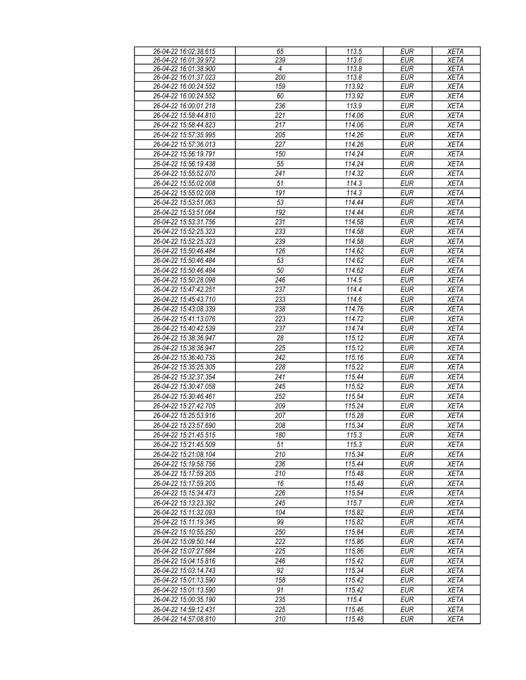| 26-04-22 16:02:38.615 | 65  | 113.5  | <b>EUR</b> | <b>XETA</b> |
|-----------------------|-----|--------|------------|-------------|
| 26-04-22 16:01:39.972 | 239 | 113.6  | <b>EUR</b> | <b>XETA</b> |
| 26-04-22 16:01:38.900 | 4   | 113.8  | <b>EUR</b> | <b>XETA</b> |
| 26-04-22 16:01:37.023 | 200 | 113.8  | <b>EUR</b> | <b>XETA</b> |
| 26-04-22 16:00:24.552 | 159 | 113.92 | <b>EUR</b> | <b>XETA</b> |
| 26-04-22 16:00:24.552 | 60  | 113.92 | <b>EUR</b> | <b>XETA</b> |
|                       | 236 | 113.9  | <b>EUR</b> |             |
| 26-04-22 16:00:01.218 |     |        |            | <b>XETA</b> |
| 26-04-22 15:58:44.810 | 221 | 114.06 | <b>EUR</b> | <b>XETA</b> |
| 26-04-22 15:58:44.823 | 217 | 114.06 | <b>EUR</b> | <b>XETA</b> |
| 26-04-22 15:57:35.995 | 205 | 114.26 | <b>EUR</b> | <b>XETA</b> |
| 26-04-22 15:57:36.013 | 227 | 114.26 | <b>EUR</b> | <b>XETA</b> |
| 26-04-22 15:56:19.791 | 150 | 114.24 | <b>EUR</b> | <b>XETA</b> |
| 26-04-22 15:56:19.438 | 55  | 114.24 | <b>EUR</b> | <b>XETA</b> |
| 26-04-22 15:55:52.070 | 241 | 114.32 | <b>EUR</b> | <b>XETA</b> |
| 26-04-22 15:55:02.008 | 51  | 114.3  | <b>EUR</b> | <b>XETA</b> |
| 26-04-22 15:55:02.008 | 191 | 114.3  | <b>EUR</b> | <b>XETA</b> |
|                       |     |        |            |             |
| 26-04-22 15:53:51.063 | 53  | 114.44 | <b>EUR</b> | <b>XETA</b> |
| 26-04-22 15:53:51.064 | 192 | 114.44 | <b>EUR</b> | <b>XETA</b> |
| 26-04-22 15:53:31.756 | 231 | 114.58 | <b>EUR</b> | <b>XETA</b> |
| 26-04-22 15:52:25.323 | 233 | 114.58 | <b>EUR</b> | <b>XETA</b> |
| 26-04-22 15:52:25.323 | 239 | 114.58 | <b>EUR</b> | <b>XETA</b> |
| 26-04-22 15:50:46.484 | 126 | 114.62 | <b>EUR</b> | <b>XETA</b> |
| 26-04-22 15:50:46.484 | 53  | 114.62 | <b>EUR</b> | <b>XETA</b> |
| 26-04-22 15:50:46.484 | 50  | 114.62 | <b>EUR</b> | <b>XETA</b> |
| 26-04-22 15:50:28.098 | 246 | 114.5  | <b>EUR</b> | <b>XETA</b> |
| 26-04-22 15:47:42.251 | 237 | 114.4  | <b>EUR</b> | <b>XETA</b> |
|                       |     |        |            |             |
| 26-04-22 15:45:43.710 | 233 | 114.6  | <b>EUR</b> | <b>XETA</b> |
| 26-04-22 15:43:08.339 | 238 | 114.76 | <b>EUR</b> | <b>XETA</b> |
| 26-04-22 15:41:13.076 | 223 | 114.72 | <b>EUR</b> | <b>XETA</b> |
| 26-04-22 15:40:42.539 | 237 | 114.74 | <b>EUR</b> | <b>XETA</b> |
| 26-04-22 15:38:36.947 | 28  | 115.12 | <b>EUR</b> | <b>XETA</b> |
| 26-04-22 15:38:36.947 | 225 | 115.12 | <b>EUR</b> | <b>XETA</b> |
| 26-04-22 15:36:40.735 | 242 | 115.16 | <b>EUR</b> | <b>XETA</b> |
| 26-04-22 15:35:25.305 | 228 | 115.22 | <b>EUR</b> | <b>XETA</b> |
| 26-04-22 15:32:37.354 | 241 | 115.44 | <b>EUR</b> | <b>XETA</b> |
| 26-04-22 15:30:47.058 | 245 | 115.52 | <b>EUR</b> | <b>XETA</b> |
| 26-04-22 15:30:46.461 | 252 | 115.54 | <b>EUR</b> | <b>XETA</b> |
|                       |     | 115.24 |            |             |
| 26-04-22 15:27:42.705 | 209 |        | <b>EUR</b> | <b>XETA</b> |
| 26-04-22 15:25:53.916 | 207 | 115.28 | <b>EUR</b> | <b>XETA</b> |
| 26-04-22 15:23:57.690 | 208 | 115.34 | <b>EUR</b> | <b>XETA</b> |
| 26-04-22 15:21:45.515 | 180 | 115.3  | EUR        | <b>XETA</b> |
| 26-04-22 15:21:45.509 | 51  | 115.3  | <b>EUR</b> | <b>XETA</b> |
| 26-04-22 15:21:08.104 | 210 | 115.34 | EUR        | XETA        |
| 26-04-22 15:19:58.756 | 236 | 115.44 | <b>EUR</b> | <b>XETA</b> |
| 26-04-22 15:17:59.205 | 210 | 115.48 | <b>EUR</b> | XETA        |
| 26-04-22 15:17:59.205 | 16  | 115.48 | <b>EUR</b> | XETA        |
| 26-04-22 15:15:34.473 | 226 | 115.54 | EUR        | XETA        |
| 26-04-22 15:13:23.392 | 245 | 115.7  | <b>EUR</b> | <b>XETA</b> |
| 26-04-22 15:11:32.093 | 104 | 115.82 | <b>EUR</b> | <b>XETA</b> |
|                       | 99  |        |            |             |
| 26-04-22 15:11:19.345 |     | 115.82 | <b>EUR</b> | <b>XETA</b> |
| 26-04-22 15:10:55.250 | 250 | 115.84 | <b>EUR</b> | <b>XETA</b> |
| 26-04-22 15:09:50.144 | 222 | 115.86 | <b>EUR</b> | XETA        |
| 26-04-22 15:07:27.684 | 225 | 115.86 | <b>EUR</b> | XETA        |
| 26-04-22 15:04:15.816 | 246 | 115.42 | <b>EUR</b> | XETA        |
| 26-04-22 15:03:14.743 | 92  | 115.34 | <b>EUR</b> | <b>XETA</b> |
| 26-04-22 15:01:13.590 | 158 | 115.42 | <b>EUR</b> | <b>XETA</b> |
| 26-04-22 15:01:13.590 | 91  | 115.42 | <b>EUR</b> | <b>XETA</b> |
| 26-04-22 15:00:35.190 | 235 | 115.4  | <b>EUR</b> | <b>XETA</b> |
| 26-04-22 14:59:12.431 | 225 | 115.46 | <b>EUR</b> | <b>XETA</b> |
|                       |     |        |            |             |
| 26-04-22 14:57:08.810 | 210 | 115.48 | <b>EUR</b> | <b>XETA</b> |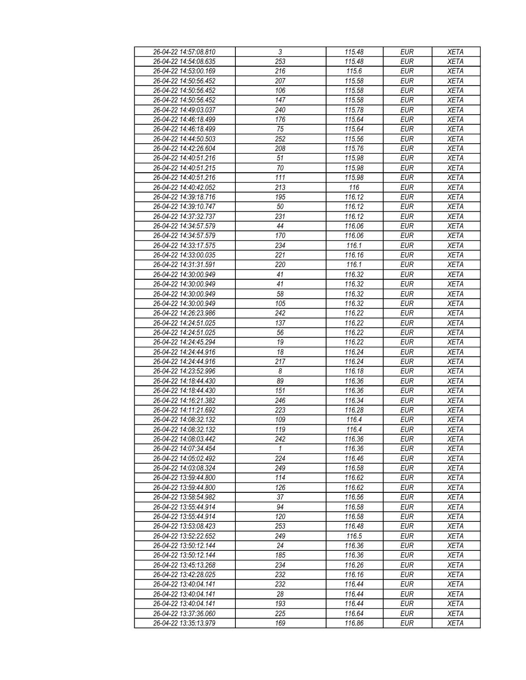| 26-04-22 14:57:08.810 | $\sqrt{3}$       | 115.48           | <b>EUR</b> | <b>XETA</b> |
|-----------------------|------------------|------------------|------------|-------------|
| 26-04-22 14:54:08.635 | 253              | 115.48           | <b>EUR</b> | <b>XETA</b> |
| 26-04-22 14:53:00.169 | $\overline{216}$ | 115.6            | <b>EUR</b> | <b>XETA</b> |
| 26-04-22 14:50:56.452 | 207              | 115.58           | <b>EUR</b> | <b>XETA</b> |
| 26-04-22 14:50:56.452 | 106              | 115.58           | <b>EUR</b> | <b>XETA</b> |
| 26-04-22 14:50:56.452 | 147              | 115.58           | <b>EUR</b> | <b>XETA</b> |
| 26-04-22 14:49:03.037 | 240              | 115.78           | <b>EUR</b> | <b>XETA</b> |
| 26-04-22 14:46:18.499 | 176              | 115.64           | <b>EUR</b> |             |
|                       |                  |                  |            | XETA        |
| 26-04-22 14:46:18.499 | 75               | 115.64           | <b>EUR</b> | <b>XETA</b> |
| 26-04-22 14:44:50.503 | 252              | 115.56           | <b>EUR</b> | <b>XETA</b> |
| 26-04-22 14:42:26.604 | 208              | 115.76           | <b>EUR</b> | <b>XETA</b> |
| 26-04-22 14:40:51.216 | 51               | 115.98           | <b>EUR</b> | <b>XETA</b> |
| 26-04-22 14:40:51.215 | $70$             | 115.98           | <b>EUR</b> | <b>XETA</b> |
| 26-04-22 14:40:51.216 | 111              | 115.98           | <b>EUR</b> | <b>XETA</b> |
| 26-04-22 14:40:42.052 | 213              | 116              | <b>EUR</b> | <b>XETA</b> |
| 26-04-22 14:39:18.716 | 195              | 116.12           | <b>EUR</b> | <b>XETA</b> |
| 26-04-22 14:39:10.747 | 50               | 116.12           | <b>EUR</b> | <b>XETA</b> |
| 26-04-22 14:37:32.737 | 231              | 116.12           | <b>EUR</b> | <b>XETA</b> |
| 26-04-22 14:34:57.579 | 44               | 116.06           | <b>EUR</b> | <b>XETA</b> |
| 26-04-22 14:34:57.579 | 170              | 116.06           | <b>EUR</b> | <b>XETA</b> |
| 26-04-22 14:33:17.575 | 234              | 116.1            | <b>EUR</b> | <b>XETA</b> |
| 26-04-22 14:33:00.035 | 221              | 116.16           | <b>EUR</b> | <b>XETA</b> |
| 26-04-22 14:31:31.591 | 220              | 116.1            | <b>EUR</b> | <b>XETA</b> |
| 26-04-22 14:30:00.949 | 41               | 116.32           | <b>EUR</b> | <b>XETA</b> |
| 26-04-22 14:30:00.949 | 41               | 116.32           | <b>EUR</b> | <b>XETA</b> |
| 26-04-22 14:30:00.949 | 58               | 116.32           | <b>EUR</b> | <b>XETA</b> |
| 26-04-22 14:30:00.949 | 105              | 116.32           | <b>EUR</b> | <b>XETA</b> |
| 26-04-22 14:26:23.986 | 242              | 116.22           | <b>EUR</b> | <b>XETA</b> |
| 26-04-22 14:24:51.025 | 137              | 116.22           | <b>EUR</b> | <b>XETA</b> |
| 26-04-22 14:24:51.025 | 56               | 116.22           | <b>EUR</b> | <b>XETA</b> |
| 26-04-22 14:24:45.294 | 19               | 116.22           | <b>EUR</b> | <b>XETA</b> |
| 26-04-22 14:24:44.916 | 18               | 116.24           | <b>EUR</b> | <b>XETA</b> |
| 26-04-22 14:24:44.916 | 217              | 116.24           | <b>EUR</b> | <b>XETA</b> |
| 26-04-22 14:23:52.996 | 8                | 116.18           | <b>EUR</b> | <b>XETA</b> |
| 26-04-22 14:18:44.430 | 89               | 116.36           | <b>EUR</b> | <b>XETA</b> |
| 26-04-22 14:18:44.430 | 151              | 116.36           | <b>EUR</b> | <b>XETA</b> |
| 26-04-22 14:16:21.382 |                  |                  |            |             |
|                       | 246              | 116.34<br>116.28 | <b>EUR</b> | XETA        |
| 26-04-22 14:11:21.692 | 223              |                  | <b>EUR</b> | <b>XETA</b> |
| 26-04-22 14:08:32.132 | 109              | 116.4            | <b>EUR</b> | <b>XETA</b> |
| 26-04-22 14:08:32.132 | 119              | 116.4            | <b>EUR</b> | <b>XETA</b> |
| 26-04-22 14:08:03.442 | 242              | 116.36           | EUR        | XETA        |
| 26-04-22 14:07:34.454 | $\mathbf{1}$     | 116.36           | <b>EUR</b> | <b>XETA</b> |
| 26-04-22 14:05:02.492 | 224              | 116.46           | <b>EUR</b> | <b>XETA</b> |
| 26-04-22 14:03:08.324 | 249              | 116.58           | <b>EUR</b> | <b>XETA</b> |
| 26-04-22 13:59:44.800 | 114              | 116.62           | <b>EUR</b> | XETA        |
| 26-04-22 13:59:44.800 | 126              | 116.62           | <b>EUR</b> | <b>XETA</b> |
| 26-04-22 13:58:54.982 | 37               | 116.56           | <b>EUR</b> | <b>XETA</b> |
| 26-04-22 13:55:44.914 | 94               | 116.58           | <b>EUR</b> | <b>XETA</b> |
| 26-04-22 13:55:44.914 | 120              | 116.58           | <b>EUR</b> | <b>XETA</b> |
| 26-04-22 13:53:08.423 | 253              | 116.48           | EUR        | XETA        |
| 26-04-22 13:52:22.652 | 249              | 116.5            | <b>EUR</b> | <b>XETA</b> |
| 26-04-22 13:50:12.144 | 24               | 116.36           | <b>EUR</b> | <b>XETA</b> |
| 26-04-22 13:50:12.144 | 185              | 116.36           | <b>EUR</b> | <b>XETA</b> |
| 26-04-22 13:45:13.268 | 234              | 116.26           | EUR        | <b>XETA</b> |
| 26-04-22 13:42:28.025 | 232              | 116.16           | <b>EUR</b> | <b>XETA</b> |
| 26-04-22 13:40:04.141 | 232              | 116.44           | <b>EUR</b> | <b>XETA</b> |
| 26-04-22 13:40:04.141 | 28               | 116.44           | <b>EUR</b> | <b>XETA</b> |
| 26-04-22 13:40:04.141 | 193              | 116.44           | EUR        | XETA        |
| 26-04-22 13:37:36.060 | 225              | 116.64           | EUR        | XETA        |
| 26-04-22 13:35:13.979 | 169              | 116.86           | EUR        | XETA        |
|                       |                  |                  |            |             |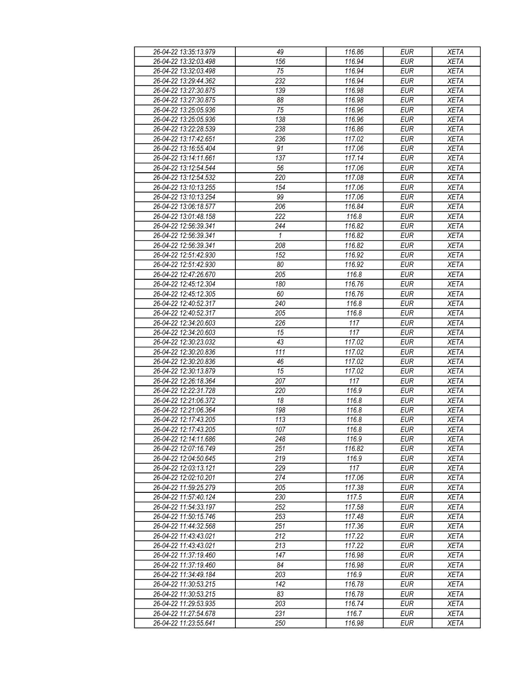| 26-04-22 13:35:13.979 | 49              | 116.86 | <b>EUR</b> | <b>XETA</b> |
|-----------------------|-----------------|--------|------------|-------------|
| 26-04-22 13:32:03.498 | 156             | 116.94 | <b>EUR</b> | <b>XETA</b> |
| 26-04-22 13:32:03.498 | $\overline{75}$ | 116.94 | <b>EUR</b> | <b>XETA</b> |
| 26-04-22 13:29:44.362 | 232             | 116.94 | <b>EUR</b> | <b>XETA</b> |
| 26-04-22 13:27:30.875 | 139             | 116.98 | <b>EUR</b> | <b>XETA</b> |
| 26-04-22 13:27:30.875 | 88              | 116.98 | <b>EUR</b> | <b>XETA</b> |
|                       |                 |        |            |             |
| 26-04-22 13:25:05.936 | 75              | 116.96 | <b>EUR</b> | <b>XETA</b> |
| 26-04-22 13:25:05.936 | 138             | 116.96 | <b>EUR</b> | <b>XETA</b> |
| 26-04-22 13:22:28.539 | 238             | 116.86 | <b>EUR</b> | <b>XETA</b> |
| 26-04-22 13:17:42.651 | 236             | 117.02 | <b>EUR</b> | <b>XETA</b> |
| 26-04-22 13:16:55.404 | 91              | 117.06 | <b>EUR</b> | <b>XETA</b> |
| 26-04-22 13:14:11.661 | 137             | 117.14 | <b>EUR</b> | <b>XETA</b> |
| 26-04-22 13:12:54.544 | 56              | 117.06 | <b>EUR</b> | <b>XETA</b> |
| 26-04-22 13:12:54.532 | 220             | 117.08 | <b>EUR</b> | <b>XETA</b> |
| 26-04-22 13:10:13.255 | 154             | 117.06 | <b>EUR</b> | <b>XETA</b> |
| 26-04-22 13:10:13.254 | 99              | 117.06 | <b>EUR</b> | <b>XETA</b> |
| 26-04-22 13:06:18.577 | 206             | 116.84 | <b>EUR</b> | <b>XETA</b> |
| 26-04-22 13:01:48.158 | 222             | 116.8  | <b>EUR</b> | <b>XETA</b> |
| 26-04-22 12:56:39.341 | 244             | 116.82 | <b>EUR</b> | <b>XETA</b> |
| 26-04-22 12:56:39.341 | $\mathbf{1}$    | 116.82 | <b>EUR</b> | <b>XETA</b> |
| 26-04-22 12:56:39.341 | 208             | 116.82 | <b>EUR</b> | <b>XETA</b> |
| 26-04-22 12:51:42.930 | 152             | 116.92 | <b>EUR</b> | <b>XETA</b> |
| 26-04-22 12:51:42.930 | 80              | 116.92 | <b>EUR</b> | <b>XETA</b> |
| 26-04-22 12:47:26.670 | 205             | 116.8  | <b>EUR</b> | <b>XETA</b> |
|                       |                 |        |            |             |
| 26-04-22 12:45:12.304 | 180             | 116.76 | <b>EUR</b> | <b>XETA</b> |
| 26-04-22 12:45:12.305 | 60              | 116.76 | <b>EUR</b> | <b>XETA</b> |
| 26-04-22 12:40:52.317 | 240             | 116.8  | <b>EUR</b> | <b>XETA</b> |
| 26-04-22 12:40:52.317 | 205             | 116.8  | <b>EUR</b> | <b>XETA</b> |
| 26-04-22 12:34:20.603 | 226             | 117    | <b>EUR</b> | <b>XETA</b> |
| 26-04-22 12:34:20.603 | 15              | 117    | <b>EUR</b> | <b>XETA</b> |
| 26-04-22 12:30:23.032 | 43              | 117.02 | <b>EUR</b> | <b>XETA</b> |
| 26-04-22 12:30:20.836 | 111             | 117.02 | <b>EUR</b> | <b>XETA</b> |
| 26-04-22 12:30:20.836 | 46              | 117.02 | <b>EUR</b> | <b>XETA</b> |
| 26-04-22 12:30:13.879 | 15              | 117.02 | <b>EUR</b> | <b>XETA</b> |
| 26-04-22 12:26:18.364 | 207             | 117    | <b>EUR</b> | <b>XETA</b> |
| 26-04-22 12:22:31.728 | 220             | 116.9  | <b>EUR</b> | <b>XETA</b> |
| 26-04-22 12:21:06.372 | 18              | 116.8  | <b>EUR</b> | <b>XETA</b> |
| 26-04-22 12:21:06.364 | 198             | 116.8  | <b>EUR</b> | <b>XETA</b> |
| 26-04-22 12:17:43.205 | 113             | 116.8  | <b>EUR</b> | <b>XETA</b> |
| 26-04-22 12:17:43.205 | 107             | 116.8  | <b>EUR</b> | <b>XETA</b> |
| 26-04-22 12:14:11.686 | 248             | 116.9  | EUR        | XETA        |
| 26-04-22 12:07:16.749 | 251             | 116.82 | <b>EUR</b> | <b>XETA</b> |
| 26-04-22 12:04:50.645 | 219             | 116.9  | <b>EUR</b> | <b>XETA</b> |
| 26-04-22 12:03:13.121 | 229             | 117    | <b>EUR</b> | <b>XETA</b> |
| 26-04-22 12:02:10.201 | 274             | 117.06 | <b>EUR</b> | <b>XETA</b> |
| 26-04-22 11:59:25.279 | 205             | 117.38 | <b>EUR</b> | <b>XETA</b> |
| 26-04-22 11:57:40.124 | 230             | 117.5  | <b>EUR</b> | <b>XETA</b> |
| 26-04-22 11:54:33.197 | 252             | 117.58 | <b>EUR</b> | <b>XETA</b> |
| 26-04-22 11:50:15.746 |                 | 117.48 |            |             |
|                       | 253             |        | <b>EUR</b> | <b>XETA</b> |
| 26-04-22 11:44:32.568 | 251             | 117.36 | EUR        | <b>XETA</b> |
| 26-04-22 11:43:43.021 | 212             | 117.22 | <b>EUR</b> | <b>XETA</b> |
| 26-04-22 11:43:43.021 | 213             | 117.22 | <b>EUR</b> | <b>XETA</b> |
| 26-04-22 11:37:19.460 | 147             | 116.98 | <b>EUR</b> | <b>XETA</b> |
| 26-04-22 11:37:19.460 | 84              | 116.98 | EUR        | <b>XETA</b> |
| 26-04-22 11:34:49.184 | 203             | 116.9  | <b>EUR</b> | <b>XETA</b> |
| 26-04-22 11:30:53.215 | 142             | 116.78 | <b>EUR</b> | <b>XETA</b> |
| 26-04-22 11:30:53.215 | 83              | 116.78 | <b>EUR</b> | <b>XETA</b> |
| 26-04-22 11:29:53.935 | 203             | 116.74 | EUR        | XETA        |
| 26-04-22 11:27:54.678 | 231             | 116.7  | EUR        | <b>XETA</b> |
| 26-04-22 11:23:55.641 | 250             | 116.98 | EUR        | <b>XETA</b> |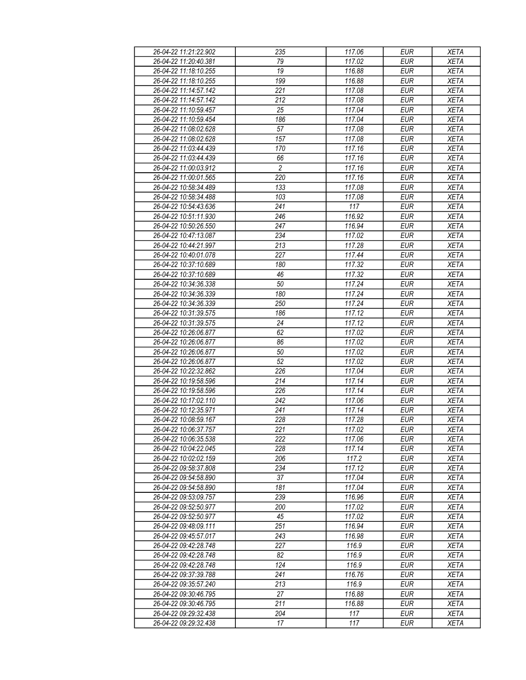| 26-04-22 11:21:22.902 | 235             | 117.06 | <b>EUR</b> | <b>XETA</b> |
|-----------------------|-----------------|--------|------------|-------------|
| 26-04-22 11:20:40.381 | 79              | 117.02 | <b>EUR</b> | <b>XETA</b> |
| 26-04-22 11:18:10.255 | $\overline{19}$ | 116.88 | <b>EUR</b> | <b>XETA</b> |
| 26-04-22 11:18:10.255 | 199             | 116.88 | <b>EUR</b> | <b>XETA</b> |
| 26-04-22 11:14:57.142 | 221             | 117.08 | <b>EUR</b> | <b>XETA</b> |
| 26-04-22 11:14:57.142 | 212             | 117.08 | <b>EUR</b> | <b>XETA</b> |
|                       |                 | 117.04 | <b>EUR</b> |             |
| 26-04-22 11:10:59.457 | 25              |        |            | <b>XETA</b> |
| 26-04-22 11:10:59.454 | 186             | 117.04 | <b>EUR</b> | <b>XETA</b> |
| 26-04-22 11:08:02.628 | 57              | 117.08 | <b>EUR</b> | <b>XETA</b> |
| 26-04-22 11:08:02.628 | 157             | 117.08 | <b>EUR</b> | <b>XETA</b> |
| 26-04-22 11:03:44.439 | 170             | 117.16 | <b>EUR</b> | <b>XETA</b> |
| 26-04-22 11:03:44.439 | 66              | 117.16 | <b>EUR</b> | <b>XETA</b> |
| 26-04-22 11:00:03.912 | $\overline{2}$  | 117.16 | <b>EUR</b> | <b>XETA</b> |
| 26-04-22 11:00:01.565 | 220             | 117.16 | <b>EUR</b> | <b>XETA</b> |
| 26-04-22 10:58:34.489 | 133             | 117.08 | <b>EUR</b> | <b>XETA</b> |
| 26-04-22 10:58:34.488 | 103             | 117.08 | <b>EUR</b> | <b>XETA</b> |
| 26-04-22 10:54:43.636 | 241             | 117    | <b>EUR</b> | <b>XETA</b> |
| 26-04-22 10:51:11.930 | 246             | 116.92 | <b>EUR</b> | <b>XETA</b> |
| 26-04-22 10:50:26.550 | 247             | 116.94 | <b>EUR</b> | <b>XETA</b> |
| 26-04-22 10:47:13.087 | 234             | 117.02 | <b>EUR</b> | <b>XETA</b> |
| 26-04-22 10:44:21.997 | 213             | 117.28 | <b>EUR</b> | <b>XETA</b> |
| 26-04-22 10:40:01.078 | 227             | 117.44 | <b>EUR</b> | <b>XETA</b> |
| 26-04-22 10:37:10.689 | 180             | 117.32 | <b>EUR</b> | <b>XETA</b> |
| 26-04-22 10:37:10.689 | 46              | 117.32 | <b>EUR</b> | <b>XETA</b> |
| 26-04-22 10:34:36.338 | 50              | 117.24 | <b>EUR</b> | <b>XETA</b> |
|                       |                 |        |            |             |
| 26-04-22 10:34:36.339 | 180             | 117.24 | <b>EUR</b> | <b>XETA</b> |
| 26-04-22 10:34:36.339 | 250             | 117.24 | <b>EUR</b> | <b>XETA</b> |
| 26-04-22 10:31:39.575 | 186             | 117.12 | <b>EUR</b> | <b>XETA</b> |
| 26-04-22 10:31:39.575 | 24              | 117.12 | <b>EUR</b> | <b>XETA</b> |
| 26-04-22 10:26:06.877 | 62              | 117.02 | <b>EUR</b> | <b>XETA</b> |
| 26-04-22 10:26:06.877 | 86              | 117.02 | <b>EUR</b> | <b>XETA</b> |
| 26-04-22 10:26:06.877 | 50              | 117.02 | <b>EUR</b> | <b>XETA</b> |
| 26-04-22 10:26:06.877 | 52              | 117.02 | <b>EUR</b> | <b>XETA</b> |
| 26-04-22 10:22:32.862 | 226             | 117.04 | <b>EUR</b> | <b>XETA</b> |
| 26-04-22 10:19:58.596 | 214             | 117.14 | <b>EUR</b> | <b>XETA</b> |
| 26-04-22 10:19:58.596 | 226             | 117.14 | <b>EUR</b> | <b>XETA</b> |
| 26-04-22 10:17:02.110 | 242             | 117.06 | <b>EUR</b> | <b>XETA</b> |
| 26-04-22 10:12:35.971 | 241             | 117.14 | <b>EUR</b> | <b>XETA</b> |
| 26-04-22 10:08:59.167 | 228             | 117.28 | <b>EUR</b> | <b>XETA</b> |
| 26-04-22 10:06:37.757 | 221             | 117.02 | <b>EUR</b> | <b>XETA</b> |
| 26-04-22 10:06:35.538 | 222             | 117.06 | EUR        | XETA        |
| 26-04-22 10:04:22.045 | 228             | 117.14 | <b>EUR</b> | <b>XETA</b> |
| 26-04-22 10:02:02.159 | 206             | 117.2  | <b>EUR</b> | <b>XETA</b> |
| 26-04-22 09:58:37.808 | 234             | 117.12 | <b>EUR</b> | <b>XETA</b> |
| 26-04-22 09:54:58.890 | 37              | 117.04 | <b>EUR</b> | <b>XETA</b> |
| 26-04-22 09:54:58.890 | 181             | 117.04 | <b>EUR</b> | <b>XETA</b> |
|                       |                 |        |            |             |
| 26-04-22 09:53:09.757 | 239             | 116.96 | <b>EUR</b> | <b>XETA</b> |
| 26-04-22 09:52:50.977 | 200             | 117.02 | <b>EUR</b> | <b>XETA</b> |
| 26-04-22 09:52:50.977 | 45              | 117.02 | <b>EUR</b> | <b>XETA</b> |
| 26-04-22 09:48:09.111 | 251             | 116.94 | EUR        | <b>XETA</b> |
| 26-04-22 09:45:57.017 | 243             | 116.98 | <b>EUR</b> | <b>XETA</b> |
| 26-04-22 09:42:28.748 | 227             | 116.9  | <b>EUR</b> | <b>XETA</b> |
| 26-04-22 09:42:28.748 | 82              | 116.9  | <b>EUR</b> | <b>XETA</b> |
| 26-04-22 09:42:28.748 | 124             | 116.9  | EUR        | <b>XETA</b> |
| 26-04-22 09:37:39.788 | 241             | 116.76 | EUR        | <b>XETA</b> |
| 26-04-22 09:35:57.240 | 213             | 116.9  | <b>EUR</b> | <b>XETA</b> |
| 26-04-22 09:30:46.795 | 27              | 116.88 | <b>EUR</b> | <b>XETA</b> |
| 26-04-22 09:30:46.795 | 211             | 116.88 | EUR        | XETA        |
| 26-04-22 09:29:32.438 | 204             | 117    | EUR        | <b>XETA</b> |
| 26-04-22 09:29:32.438 | 17              | 117    | EUR        | <b>XETA</b> |
|                       |                 |        |            |             |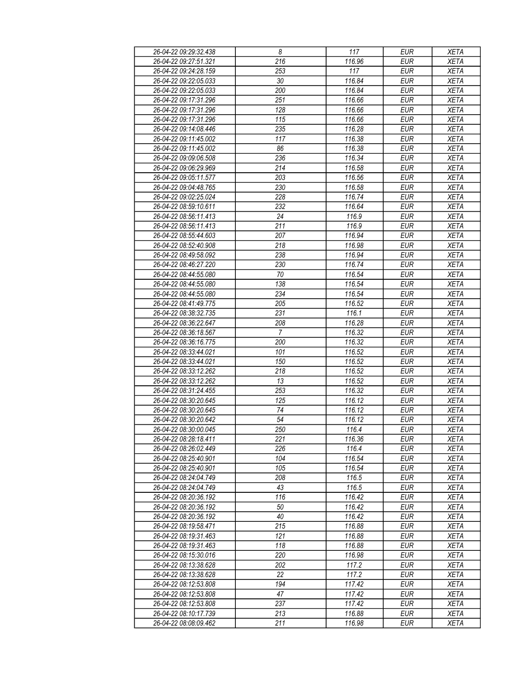| 26-04-22 09:29:32.438 | $\boldsymbol{\delta}$ | 117    | <b>EUR</b> | <b>XETA</b> |
|-----------------------|-----------------------|--------|------------|-------------|
| 26-04-22 09:27:51.321 | $\overline{216}$      | 116.96 | <b>EUR</b> | <b>XETA</b> |
| 26-04-22 09:24:28.159 | 253                   | 117    | <b>EUR</b> | <b>XETA</b> |
| 26-04-22 09:22:05.033 | 30                    | 116.84 | <b>EUR</b> | <b>XETA</b> |
| 26-04-22 09:22:05.033 | 200                   | 116.84 | <b>EUR</b> | <b>XETA</b> |
| 26-04-22 09:17:31.296 | 251                   | 116.66 | <b>EUR</b> | <b>XETA</b> |
| 26-04-22 09:17:31.296 | 128                   | 116.66 | <b>EUR</b> | <b>XETA</b> |
| 26-04-22 09:17:31.296 | 115                   | 116.66 | <b>EUR</b> | <b>XETA</b> |
| 26-04-22 09:14:08.446 | 235                   | 116.28 | <b>EUR</b> | <b>XETA</b> |
| 26-04-22 09:11:45.002 | 117                   | 116.38 | <b>EUR</b> | <b>XETA</b> |
| 26-04-22 09:11:45.002 |                       |        |            |             |
|                       | 86                    | 116.38 | <b>EUR</b> | <b>XETA</b> |
| 26-04-22 09:09:06.508 | 236                   | 116.34 | <b>EUR</b> | <b>XETA</b> |
| 26-04-22 09:06:29.969 | 214                   | 116.58 | <b>EUR</b> | <b>XETA</b> |
| 26-04-22 09:05:11.577 | 203                   | 116.56 | <b>EUR</b> | <b>XETA</b> |
| 26-04-22 09:04:48.765 | 230                   | 116.58 | <b>EUR</b> | <b>XETA</b> |
| 26-04-22 09:02:25.024 | 228                   | 116.74 | <b>EUR</b> | <b>XETA</b> |
| 26-04-22 08:59:10.611 | 232                   | 116.64 | <b>EUR</b> | <b>XETA</b> |
| 26-04-22 08:56:11.413 | 24                    | 116.9  | <b>EUR</b> | <b>XETA</b> |
| 26-04-22 08:56:11.413 | 211                   | 116.9  | <b>EUR</b> | <b>XETA</b> |
| 26-04-22 08:55:44.603 | 207                   | 116.94 | <b>EUR</b> | <b>XETA</b> |
| 26-04-22 08:52:40.908 | 218                   | 116.98 | <b>EUR</b> | <b>XETA</b> |
| 26-04-22 08:49:58.092 | 238                   | 116.94 | <b>EUR</b> | <b>XETA</b> |
| 26-04-22 08:46:27.220 | 230                   | 116.74 | <b>EUR</b> | <b>XETA</b> |
| 26-04-22 08:44:55.080 | 70                    | 116.54 | <b>EUR</b> | XETA        |
| 26-04-22 08:44:55.080 | 138                   | 116.54 | <b>EUR</b> | <b>XETA</b> |
| 26-04-22 08:44:55.080 | 234                   | 116.54 | <b>EUR</b> | <b>XETA</b> |
| 26-04-22 08:41:49.775 | 205                   | 116.52 | <b>EUR</b> | <b>XETA</b> |
| 26-04-22 08:38:32.735 | 231                   | 116.1  | <b>EUR</b> | <b>XETA</b> |
| 26-04-22 08:36:22.647 | 208                   | 116.28 | <b>EUR</b> | <b>XETA</b> |
| 26-04-22 08:36:18.567 | $\overline{7}$        | 116.32 | <b>EUR</b> | <b>XETA</b> |
| 26-04-22 08:36:16.775 | 200                   | 116.32 | <b>EUR</b> | <b>XETA</b> |
| 26-04-22 08:33:44.021 | 101                   | 116.52 | <b>EUR</b> | <b>XETA</b> |
| 26-04-22 08:33:44.021 | 150                   | 116.52 | <b>EUR</b> | <b>XETA</b> |
| 26-04-22 08:33:12.262 | 218                   | 116.52 | <b>EUR</b> | <b>XETA</b> |
| 26-04-22 08:33:12.262 | 13                    | 116.52 | <b>EUR</b> | <b>XETA</b> |
| 26-04-22 08:31:24.455 | 253                   | 116.32 | <b>EUR</b> | <b>XETA</b> |
| 26-04-22 08:30:20.645 | 125                   | 116.12 | <b>EUR</b> | <b>XETA</b> |
| 26-04-22 08:30:20.645 | 74                    | 116.12 | <b>EUR</b> | <b>XETA</b> |
| 26-04-22 08:30:20.642 | 54                    | 116.12 | <b>EUR</b> | <b>XETA</b> |
| 26-04-22 08:30:00.045 | 250                   | 116.4  | <b>EUR</b> | XETA        |
| 26-04-22 08:28:18.411 | 221                   | 116.36 | <b>EUR</b> | <b>XETA</b> |
| 26-04-22 08:26:02.449 | 226                   | 116.4  | <b>EUR</b> | <b>XETA</b> |
| 26-04-22 08:25:40.901 | 104                   | 116.54 | <b>EUR</b> | XETA        |
| 26-04-22 08:25:40.901 | 105                   | 116.54 | <b>EUR</b> | <b>XETA</b> |
| 26-04-22 08:24:04.749 | 208                   | 116.5  | <b>EUR</b> |             |
|                       |                       |        |            | XETA        |
| 26-04-22 08:24:04.749 | 43                    | 116.5  | <b>EUR</b> | XETA        |
| 26-04-22 08:20:36.192 | 116                   | 116.42 | <b>EUR</b> | <b>XETA</b> |
| 26-04-22 08:20:36.192 | 50                    | 116.42 | <b>EUR</b> | <b>XETA</b> |
| 26-04-22 08:20:36.192 | 40                    | 116.42 | EUR        | <b>XETA</b> |
| 26-04-22 08:19:58.471 | 215                   | 116.88 | <b>EUR</b> | XETA        |
| 26-04-22 08:19:31.463 | 121                   | 116.88 | <b>EUR</b> | XETA        |
| 26-04-22 08:19:31.463 | 118                   | 116.88 | <b>EUR</b> | XETA        |
| 26-04-22 08:15:30.016 | 220                   | 116.98 | <b>EUR</b> | XETA        |
| 26-04-22 08:13:38.628 | 202                   | 117.2  | <b>EUR</b> | <b>XETA</b> |
| 26-04-22 08:13:38.628 | 22                    | 117.2  | <b>EUR</b> | <b>XETA</b> |
| 26-04-22 08:12:53.808 | 194                   | 117.42 | <b>EUR</b> | <b>XETA</b> |
| 26-04-22 08:12:53.808 | 47                    | 117.42 | EUR        | <b>XETA</b> |
| 26-04-22 08:12:53.808 | 237                   | 117.42 | <b>EUR</b> | <b>XETA</b> |
| 26-04-22 08:10:17.739 | 213                   | 116.88 | <b>EUR</b> | XETA        |
| 26-04-22 08:08:09.462 | 211                   | 116.98 | <b>EUR</b> | XETA        |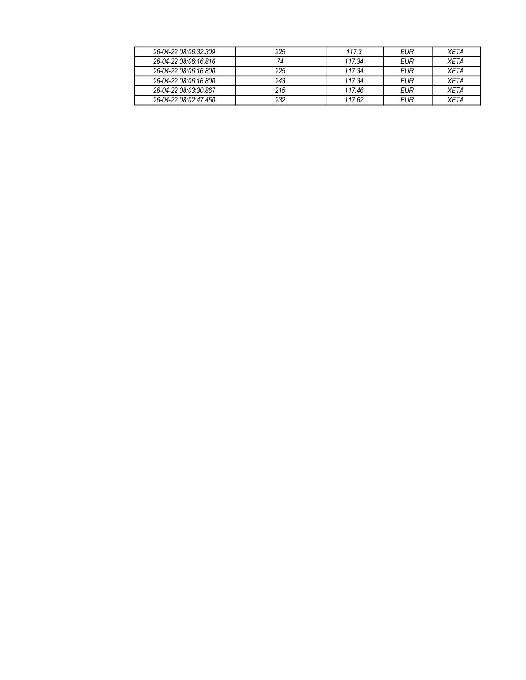| 26-04-22 08:06:32.309 | 225 | 117.3  | EUR | <b>XFTA</b> |
|-----------------------|-----|--------|-----|-------------|
| 26-04-22 08:06:16.816 | 74  | 117.34 | EUR | <b>XFTA</b> |
| 26-04-22 08:06:16.800 | 225 | 117.34 | EUR | <b>XFTA</b> |
| 26-04-22 08:06:16.800 | 243 | 117.34 | EUR | <b>XFTA</b> |
| 26-04-22 08:03:30.867 | 215 | 117.46 | EUR | <b>XFTA</b> |
| 26-04-22 08:02:47.450 | 232 | 117.62 | EUR | <b>XFTA</b> |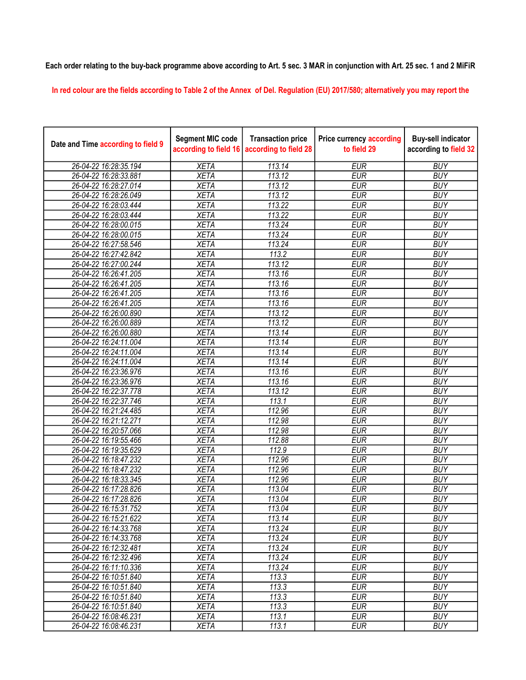## Each order relating to the buy-back programme above according to Art. 5 sec. 3 MAR in conjunction with Art. 25 sec. 1 and 2 MiFiR

In red colour are the fields according to Table 2 of the Annex of Del. Regulation (EU) 2017/580; alternatively you may report the

| Date and Time according to field 9 | <b>Segment MIC code</b><br>according to field 16 | <b>Transaction price</b><br>according to field 28 | <b>Price currency according</b><br>to field 29 | <b>Buy-sell indicator</b><br>according to field 32 |
|------------------------------------|--------------------------------------------------|---------------------------------------------------|------------------------------------------------|----------------------------------------------------|
| 26-04-22 16:28:35.194              | <b>XETA</b>                                      | 113.14                                            | <b>EUR</b>                                     | <b>BUY</b>                                         |
| 26-04-22 16:28:33.881              | <b>XETA</b>                                      | 113.12                                            | <b>EUR</b>                                     | <b>BUY</b>                                         |
| 26-04-22 16:28:27.014              | <b>XETA</b>                                      | 113.12                                            | <b>EUR</b>                                     | <b>BUY</b>                                         |
| 26-04-22 16:28:26.049              | <b>XETA</b>                                      | 113.12                                            | <b>EUR</b>                                     | <b>BUY</b>                                         |
| 26-04-22 16:28:03.444              | <b>XETA</b>                                      | 113.22                                            | <b>EUR</b>                                     | <b>BUY</b>                                         |
| 26-04-22 16:28:03.444              | <b>XETA</b>                                      | 113.22                                            | <b>EUR</b>                                     | <b>BUY</b>                                         |
| 26-04-22 16:28:00.015              | <b>XETA</b>                                      | 113.24                                            | <b>EUR</b>                                     | <b>BUY</b>                                         |
| 26-04-22 16:28:00.015              | <b>XETA</b>                                      | 113.24                                            | <b>EUR</b>                                     | <b>BUY</b>                                         |
| 26-04-22 16:27:58.546              | <b>XETA</b>                                      | 113.24                                            | <b>EUR</b>                                     | <b>BUY</b>                                         |
| 26-04-22 16:27:42.842              | <b>XETA</b>                                      | 113.2                                             | <b>EUR</b>                                     | <b>BUY</b>                                         |
| 26-04-22 16:27:00.244              | <b>XETA</b>                                      | 113.12                                            | <b>EUR</b>                                     | <b>BUY</b>                                         |
| 26-04-22 16:26:41.205              | <b>XETA</b>                                      | 113.16                                            | <b>EUR</b>                                     | <b>BUY</b>                                         |
| 26-04-22 16:26:41.205              | <b>XETA</b>                                      | 113.16                                            | <b>EUR</b>                                     | <b>BUY</b>                                         |
| 26-04-22 16:26:41.205              | <b>XETA</b>                                      | 113.16                                            | <b>EUR</b>                                     | <b>BUY</b>                                         |
| 26-04-22 16:26:41.205              | <b>XETA</b>                                      | 113.16                                            | <b>EUR</b>                                     | <b>BUY</b>                                         |
| 26-04-22 16:26:00.890              | <b>XETA</b>                                      | 113.12                                            | <b>EUR</b>                                     | <b>BUY</b>                                         |
| 26-04-22 16:26:00.889              | <b>XETA</b>                                      | 113.12                                            | <b>EUR</b>                                     | <b>BUY</b>                                         |
| 26-04-22 16:26:00.880              | <b>XETA</b>                                      | 113.14                                            | <b>EUR</b>                                     | <b>BUY</b>                                         |
| 26-04-22 16:24:11.004              | <b>XETA</b>                                      | 113.14                                            | <b>EUR</b>                                     | <b>BUY</b>                                         |
| 26-04-22 16:24:11.004              | <b>XETA</b>                                      | 113.14                                            | <b>EUR</b>                                     | <b>BUY</b>                                         |
| 26-04-22 16:24:11.004              | <b>XETA</b>                                      | 113.14                                            | <b>EUR</b>                                     | <b>BUY</b>                                         |
| 26-04-22 16:23:36.976              | <b>XETA</b>                                      | 113.16                                            | <b>EUR</b>                                     | <b>BUY</b>                                         |
| 26-04-22 16:23:36.976              | <b>XETA</b>                                      | 113.16                                            | <b>EUR</b>                                     | <b>BUY</b>                                         |
| 26-04-22 16:22:37.778              | <b>XETA</b>                                      | 113.12                                            | <b>EUR</b>                                     | <b>BUY</b>                                         |
| 26-04-22 16:22:37.746              | <b>XETA</b>                                      | 113.1                                             | <b>EUR</b>                                     | <b>BUY</b>                                         |
| 26-04-22 16:21:24.485              | <b>XETA</b>                                      | 112.96                                            | <b>EUR</b>                                     | <b>BUY</b>                                         |
| 26-04-22 16:21:12.271              | <b>XETA</b>                                      | 112.98                                            | <b>EUR</b>                                     | <b>BUY</b>                                         |
| 26-04-22 16:20:57.066              | <b>XETA</b>                                      | 112.98                                            | <b>EUR</b>                                     | <b>BUY</b>                                         |
| 26-04-22 16:19:55.466              | <b>XETA</b>                                      | 112.88                                            | <b>EUR</b>                                     | <b>BUY</b>                                         |
| 26-04-22 16:19:35.629              | <b>XETA</b>                                      | 112.9                                             | <b>EUR</b>                                     | <b>BUY</b>                                         |
| 26-04-22 16:18:47.232              | <b>XETA</b>                                      | 112.96                                            | <b>EUR</b>                                     | <b>BUY</b>                                         |
| 26-04-22 16:18:47.232              | <b>XETA</b>                                      | 112.96                                            | <b>EUR</b>                                     | <b>BUY</b>                                         |
| 26-04-22 16:18:33.345              | <b>XETA</b>                                      | 112.96                                            | <b>EUR</b>                                     | <b>BUY</b>                                         |
| 26-04-22 16:17:28.826              | <b>XETA</b>                                      | 113.04                                            | <b>EUR</b>                                     | <b>BUY</b>                                         |
| 26-04-22 16:17:28.826              | <b>XETA</b>                                      | $\overline{113.04}$                               | <b>EUR</b>                                     | <b>BUY</b>                                         |
| 26-04-22 16:15:31.752              | <b>XETA</b>                                      | 113.04                                            | <b>EUR</b>                                     | <b>BUY</b>                                         |
| 26-04-22 16:15:21.622              | <b>XETA</b>                                      | 113.14                                            | <b>EUR</b>                                     | <b>BUY</b>                                         |
| 26-04-22 16:14:33.768              | <b>XETA</b>                                      | 113.24                                            | <b>EUR</b>                                     | <b>BUY</b>                                         |
| 26-04-22 16:14:33.768              | <b>XETA</b>                                      | 113.24                                            | <b>EUR</b>                                     | <b>BUY</b>                                         |
| 26-04-22 16:12:32.481              | <b>XETA</b>                                      | 113.24                                            | <b>EUR</b>                                     | <b>BUY</b>                                         |
| 26-04-22 16:12:32.496              | <b>XETA</b>                                      | 113.24                                            | <b>EUR</b>                                     | <b>BUY</b>                                         |
| 26-04-22 16:11:10.336              | <b>XETA</b>                                      | 113.24                                            | <b>EUR</b>                                     | <b>BUY</b>                                         |
| 26-04-22 16:10:51.840              | <b>XETA</b>                                      | 113.3                                             | <b>EUR</b>                                     | <b>BUY</b>                                         |
| 26-04-22 16:10:51.840              | <b>XETA</b>                                      | 113.3                                             | <b>EUR</b>                                     | <b>BUY</b>                                         |
| 26-04-22 16:10:51.840              | <b>XETA</b>                                      | 113.3                                             | <b>EUR</b>                                     | <b>BUY</b>                                         |
| 26-04-22 16:10:51.840              | <b>XETA</b>                                      | 113.3                                             | <b>EUR</b>                                     | <b>BUY</b>                                         |
| 26-04-22 16:08:46.231              | <b>XETA</b>                                      | 113.1                                             | <b>EUR</b>                                     | <b>BUY</b>                                         |
| 26-04-22 16:08:46.231              | <b>XETA</b>                                      | 113.1                                             | <b>EUR</b>                                     | <b>BUY</b>                                         |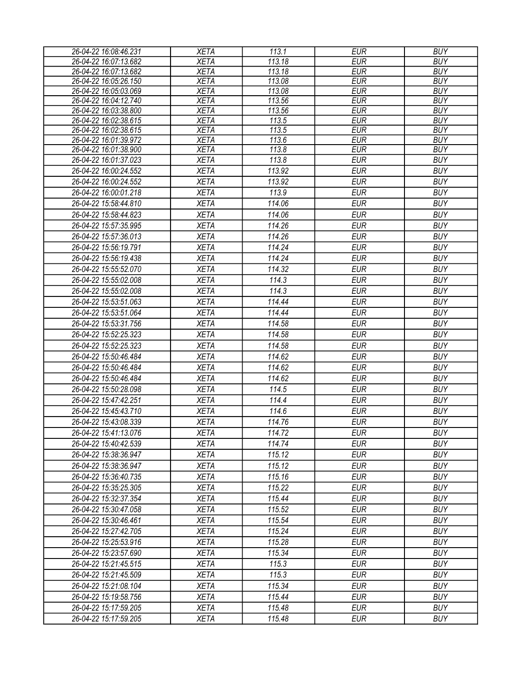| 26-04-22 16:08:46.231 | <b>XETA</b>                | 113.1          | <b>EUR</b>               | <b>BUY</b>               |
|-----------------------|----------------------------|----------------|--------------------------|--------------------------|
| 26-04-22 16:07:13.682 | <b>XETA</b>                | 113.18         | <b>EUR</b>               | <b>BUY</b>               |
| 26-04-22 16:07:13.682 | <b>XETA</b>                | 113.18         | <b>EUR</b>               | <b>BUY</b>               |
| 26-04-22 16:05:26.150 | <b>XETA</b>                | 113.08         | <b>EUR</b>               | <b>BUY</b>               |
| 26-04-22 16:05:03.069 | <b>XETA</b>                | 113.08         | <b>EUR</b>               | <b>BUY</b>               |
| 26-04-22 16:04:12.740 | <b>XETA</b>                | 113.56         | <b>EUR</b>               | <b>BUY</b>               |
| 26-04-22 16:03:38.800 | <b>XETA</b>                | 113.56         | <b>EUR</b>               | <b>BUY</b>               |
| 26-04-22 16:02:38.615 | <b>XETA</b>                | 113.5          | <b>EUR</b>               | <b>BUY</b>               |
| 26-04-22 16:02:38.615 | <b>XETA</b>                | 113.5          | <b>EUR</b>               | <b>BUY</b>               |
| 26-04-22 16:01:39.972 | <b>XETA</b><br><b>XETA</b> | 113.6<br>113.8 | <b>EUR</b><br><b>EUR</b> | <b>BUY</b><br><b>BUY</b> |
| 26-04-22 16:01:38.900 |                            | 113.8          | <b>EUR</b>               | <b>BUY</b>               |
| 26-04-22 16:01:37.023 | <b>XETA</b>                |                |                          |                          |
| 26-04-22 16:00:24.552 | <b>XETA</b>                | 113.92         | <b>EUR</b>               | <b>BUY</b>               |
| 26-04-22 16:00:24.552 | <b>XETA</b>                | 113.92         | <b>EUR</b>               | <b>BUY</b>               |
| 26-04-22 16:00:01.218 | <b>XETA</b>                | 113.9          | <b>EUR</b>               | <b>BUY</b>               |
| 26-04-22 15:58:44.810 | <b>XETA</b>                | 114.06         | <b>EUR</b>               | <b>BUY</b>               |
| 26-04-22 15:58:44.823 | <b>XETA</b>                | 114.06         | <b>EUR</b>               | <b>BUY</b>               |
| 26-04-22 15:57:35.995 | <b>XETA</b>                | 114.26         | <b>EUR</b>               | <b>BUY</b>               |
| 26-04-22 15:57:36.013 | <b>XETA</b>                | 114.26         | <b>EUR</b>               | <b>BUY</b>               |
| 26-04-22 15:56:19.791 | <b>XETA</b>                | 114.24         | <b>EUR</b>               | <b>BUY</b>               |
| 26-04-22 15:56:19.438 | <b>XETA</b>                | 114.24         | <b>EUR</b>               | <b>BUY</b>               |
| 26-04-22 15:55:52.070 | <b>XETA</b>                | 114.32         | <b>EUR</b>               | <b>BUY</b>               |
| 26-04-22 15:55:02.008 | <b>XETA</b>                | 114.3          | <b>EUR</b>               | <b>BUY</b>               |
| 26-04-22 15:55:02.008 | <b>XETA</b>                | 114.3          | <b>EUR</b>               | <b>BUY</b>               |
| 26-04-22 15:53:51.063 | <b>XETA</b>                | 114.44         | <b>EUR</b>               | <b>BUY</b>               |
| 26-04-22 15:53:51.064 | <b>XETA</b>                | 114.44         | <b>EUR</b>               | <b>BUY</b>               |
| 26-04-22 15:53:31.756 | <b>XETA</b>                | 114.58         | <b>EUR</b>               | <b>BUY</b>               |
| 26-04-22 15:52:25.323 | <b>XETA</b>                | 114.58         | <b>EUR</b>               | <b>BUY</b>               |
|                       |                            |                | <b>EUR</b>               | <b>BUY</b>               |
| 26-04-22 15:52:25.323 | <b>XETA</b>                | 114.58         |                          |                          |
| 26-04-22 15:50:46.484 | <b>XETA</b>                | 114.62         | <b>EUR</b>               | <b>BUY</b>               |
| 26-04-22 15:50:46.484 | <b>XETA</b>                | 114.62         | <b>EUR</b>               | <b>BUY</b>               |
| 26-04-22 15:50:46.484 | <b>XETA</b>                | 114.62         | <b>EUR</b>               | <b>BUY</b>               |
| 26-04-22 15:50:28.098 | <b>XETA</b>                | 114.5          | <b>EUR</b>               | <b>BUY</b>               |
| 26-04-22 15:47:42.251 | <b>XETA</b>                | 114.4          | <b>EUR</b>               | <b>BUY</b>               |
| 26-04-22 15:45:43.710 | <b>XETA</b>                | 114.6          | <b>EUR</b>               | <b>BUY</b>               |
| 26-04-22 15:43:08.339 | <b>XETA</b>                | 114.76         | <b>EUR</b>               | <b>BUY</b>               |
| 26-04-22 15:41:13.076 | <b>XETA</b>                | 114.72         | <b>EUR</b>               | <b>BUY</b>               |
| 26-04-22 15:40:42.539 | <b>XETA</b>                | 114.74         | EUR                      | <b>BUY</b>               |
| 26-04-22 15:38:36.947 | <b>XETA</b>                | 115.12         | EUR                      | <b>BUY</b>               |
| 26-04-22 15:38:36.947 | <b>XETA</b>                | 115.12         | <b>EUR</b>               | <b>BUY</b>               |
| 26-04-22 15:36:40.735 | <b>XETA</b>                | 115.16         | <b>EUR</b>               | <b>BUY</b>               |
| 26-04-22 15:35:25.305 | <b>XETA</b>                | 115.22         | <b>EUR</b>               | <b>BUY</b>               |
| 26-04-22 15:32:37.354 | <b>XETA</b>                | 115.44         | <b>EUR</b>               | <b>BUY</b>               |
| 26-04-22 15:30:47.058 | <b>XETA</b>                | 115.52         | <b>EUR</b>               | <b>BUY</b>               |
| 26-04-22 15:30:46.461 | <b>XETA</b>                | 115.54         | <b>EUR</b>               | <b>BUY</b>               |
| 26-04-22 15:27:42.705 | <b>XETA</b>                | 115.24         | <b>EUR</b>               | <b>BUY</b>               |
| 26-04-22 15:25:53.916 | <b>XETA</b>                | 115.28         | <b>EUR</b>               | <b>BUY</b>               |
| 26-04-22 15:23:57.690 | <b>XETA</b>                | 115.34         | <b>EUR</b>               | <b>BUY</b>               |
| 26-04-22 15:21:45.515 | <b>XETA</b>                | 115.3          | <b>EUR</b>               | <b>BUY</b>               |
|                       |                            | 115.3          | <b>EUR</b>               | <b>BUY</b>               |
| 26-04-22 15:21:45.509 | <b>XETA</b>                |                |                          |                          |
| 26-04-22 15:21:08.104 | <b>XETA</b>                | 115.34         | <b>EUR</b>               | <b>BUY</b>               |
| 26-04-22 15:19:58.756 | <b>XETA</b>                | 115.44         | <b>EUR</b>               | <b>BUY</b>               |
| 26-04-22 15:17:59.205 | <b>XETA</b>                | 115.48         | <b>EUR</b>               | <b>BUY</b>               |
| 26-04-22 15:17:59.205 | XETA                       | 115.48         | <b>EUR</b>               | <b>BUY</b>               |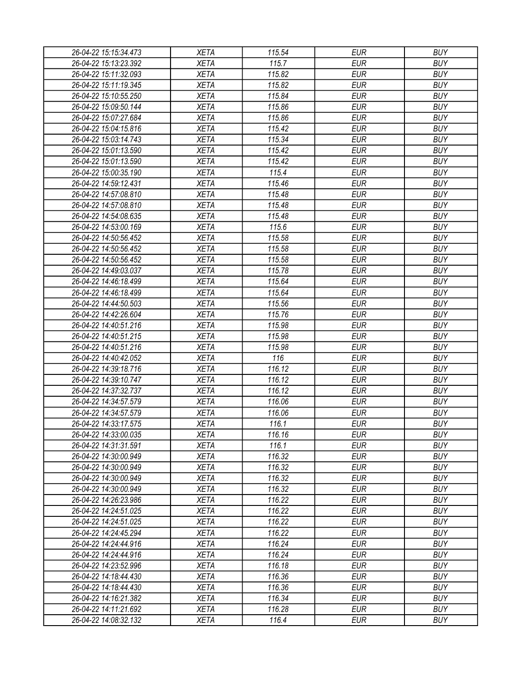| 26-04-22 15:15:34.473                          | XETA                       | 115.54          | EUR        | <b>BUY</b>               |
|------------------------------------------------|----------------------------|-----------------|------------|--------------------------|
| 26-04-22 15:13:23.392                          | <b>XETA</b>                | 115.7           | <b>EUR</b> | <b>BUY</b>               |
| 26-04-22 15:11:32.093                          | <b>XETA</b>                | 115.82          | <b>EUR</b> | <b>BUY</b>               |
| 26-04-22 15:11:19.345                          | <b>XETA</b>                | 115.82          | <b>EUR</b> | <b>BUY</b>               |
| 26-04-22 15:10:55.250                          | <b>XETA</b>                | 115.84          | <b>EUR</b> | <b>BUY</b>               |
| 26-04-22 15:09:50.144                          | <b>XETA</b>                | 115.86          | <b>EUR</b> | <b>BUY</b>               |
| 26-04-22 15:07:27.684                          | <b>XETA</b>                | 115.86          | <b>EUR</b> | <b>BUY</b>               |
| 26-04-22 15:04:15.816                          | <b>XETA</b>                | 115.42          | <b>EUR</b> | <b>BUY</b>               |
| 26-04-22 15:03:14.743                          | <b>XETA</b>                | 115.34          | <b>EUR</b> | <b>BUY</b>               |
| 26-04-22 15:01:13.590                          | <b>XETA</b>                | 115.42          | <b>EUR</b> | <b>BUY</b>               |
| 26-04-22 15:01:13.590                          | <b>XETA</b>                | 115.42          | <b>EUR</b> | <b>BUY</b>               |
| 26-04-22 15:00:35.190                          | <b>XETA</b>                | 115.4           | <b>EUR</b> | <b>BUY</b>               |
| 26-04-22 14:59:12.431                          | <b>XETA</b>                | 115.46          | <b>EUR</b> | <b>BUY</b>               |
| 26-04-22 14:57:08.810                          | <b>XETA</b>                | 115.48          | <b>EUR</b> | <b>BUY</b>               |
| 26-04-22 14:57:08.810                          | <b>XETA</b>                | 115.48          | <b>EUR</b> | <b>BUY</b>               |
| 26-04-22 14:54:08.635                          | <b>XETA</b>                | 115.48          | <b>EUR</b> | <b>BUY</b>               |
| 26-04-22 14:53:00.169                          | <b>XETA</b>                | 115.6           | <b>EUR</b> | <b>BUY</b>               |
| 26-04-22 14:50:56.452                          | <b>XETA</b>                | 115.58          | <b>EUR</b> | <b>BUY</b>               |
| 26-04-22 14:50:56.452                          | <b>XETA</b>                | 115.58          | <b>EUR</b> | <b>BUY</b>               |
| 26-04-22 14:50:56.452                          | <b>XETA</b>                | 115.58          | <b>EUR</b> | <b>BUY</b>               |
| 26-04-22 14:49:03.037                          | <b>XETA</b>                | 115.78          | <b>EUR</b> | <b>BUY</b>               |
| 26-04-22 14:46:18.499                          | <b>XETA</b>                | 115.64          | <b>EUR</b> | <b>BUY</b>               |
| 26-04-22 14:46:18.499                          | <b>XETA</b>                | 115.64          | <b>EUR</b> | <b>BUY</b>               |
| 26-04-22 14:44:50.503                          | <b>XETA</b>                | 115.56          | <b>EUR</b> | <b>BUY</b>               |
| 26-04-22 14:42:26.604                          | <b>XETA</b>                | 115.76          | <b>EUR</b> | <b>BUY</b>               |
| 26-04-22 14:40:51.216                          | <b>XETA</b>                | 115.98          | EUR        | <b>BUY</b>               |
| 26-04-22 14:40:51.215                          | <b>XETA</b>                | 115.98          | <b>EUR</b> | <b>BUY</b>               |
| 26-04-22 14:40:51.216                          | <b>XETA</b>                | 115.98          | <b>EUR</b> | <b>BUY</b>               |
| 26-04-22 14:40:42.052                          | <b>XETA</b>                | 116             | <b>EUR</b> | <b>BUY</b>               |
| 26-04-22 14:39:18.716                          | <b>XETA</b>                | 116.12          | <b>EUR</b> | <b>BUY</b>               |
| 26-04-22 14:39:10.747                          | <b>XETA</b>                | 116.12          | <b>EUR</b> | <b>BUY</b>               |
| 26-04-22 14:37:32.737                          | <b>XETA</b>                | 116.12          | <b>EUR</b> | <b>BUY</b>               |
| 26-04-22 14:34:57.579                          | <b>XETA</b>                | 116.06          | <b>EUR</b> | <b>BUY</b>               |
|                                                |                            |                 | <b>EUR</b> | <b>BUY</b>               |
| 26-04-22 14:34:57.579<br>26-04-22 14:33:17.575 | <b>XETA</b>                | 116.06          | <b>EUR</b> |                          |
|                                                | <b>XETA</b><br><b>XETA</b> | 116.1<br>116.16 |            | <b>BUY</b><br><b>BUY</b> |
| 26-04-22 14:33:00.035                          |                            |                 | <b>EUR</b> |                          |
| 26-04-22 14:31:31.591                          | <b>XETA</b>                | 116.1           | <b>EUR</b> | <b>BUY</b>               |
| 26-04-22 14:30:00.949                          | <b>XETA</b>                | 116.32          | <b>EUR</b> | <b>BUY</b>               |
| 26-04-22 14:30:00.949                          | <b>XETA</b>                | 116.32          | <b>EUR</b> | <b>BUY</b>               |
| 26-04-22 14:30:00.949                          | <b>XETA</b>                | 116.32          | <b>EUR</b> | <b>BUY</b>               |
| 26-04-22 14:30:00.949                          | <b>XETA</b>                | 116.32          | <b>EUR</b> | <b>BUY</b>               |
| 26-04-22 14:26:23.986                          | <b>XETA</b>                | 116.22          | <b>EUR</b> | <b>BUY</b>               |
| 26-04-22 14:24:51.025                          | <b>XETA</b>                | 116.22          | <b>EUR</b> | <b>BUY</b>               |
| 26-04-22 14:24:51.025                          | <b>XETA</b>                | 116.22          | <b>EUR</b> | <b>BUY</b>               |
| 26-04-22 14:24:45.294                          | <b>XETA</b>                | 116.22          | <b>EUR</b> | <b>BUY</b>               |
| 26-04-22 14:24:44.916                          | <b>XETA</b>                | 116.24          | <b>EUR</b> | <b>BUY</b>               |
| 26-04-22 14:24:44.916                          | <b>XETA</b>                | 116.24          | <b>EUR</b> | <b>BUY</b>               |
| 26-04-22 14:23:52.996                          | <b>XETA</b>                | 116.18          | <b>EUR</b> | <b>BUY</b>               |
| 26-04-22 14:18:44.430                          | <b>XETA</b>                | 116.36          | <b>EUR</b> | <b>BUY</b>               |
| 26-04-22 14:18:44.430                          | <b>XETA</b>                | 116.36          | <b>EUR</b> | <b>BUY</b>               |
| 26-04-22 14:16:21.382                          | <b>XETA</b>                | 116.34          | EUR        | <b>BUY</b>               |
| 26-04-22 14:11:21.692                          | <b>XETA</b>                | 116.28          | <b>EUR</b> | <b>BUY</b>               |
| 26-04-22 14:08:32.132                          | <b>XETA</b>                | 116.4           | <b>EUR</b> | <b>BUY</b>               |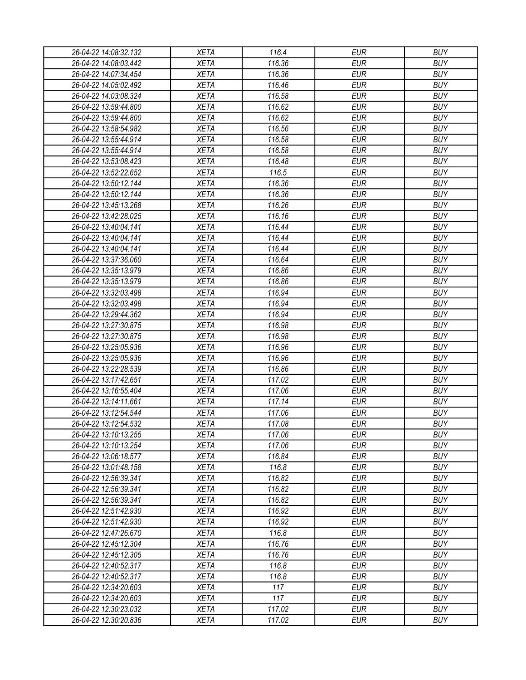| 26-04-22 14:08:32.132                          | XETA        | 116.4  | <b>EUR</b> | <b>BUY</b> |
|------------------------------------------------|-------------|--------|------------|------------|
| 26-04-22 14:08:03.442                          | <b>XETA</b> | 116.36 | <b>EUR</b> | <b>BUY</b> |
| 26-04-22 14:07:34.454                          | <b>XETA</b> | 116.36 | <b>EUR</b> | <b>BUY</b> |
| 26-04-22 14:05:02.492                          | <b>XETA</b> | 116.46 | <b>EUR</b> | <b>BUY</b> |
| 26-04-22 14:03:08.324                          | <b>XETA</b> | 116.58 | <b>EUR</b> | <b>BUY</b> |
| 26-04-22 13:59:44.800                          | <b>XETA</b> | 116.62 | <b>EUR</b> | <b>BUY</b> |
| 26-04-22 13:59:44.800                          | <b>XETA</b> | 116.62 | <b>EUR</b> | <b>BUY</b> |
| 26-04-22 13:58:54.982                          | <b>XETA</b> | 116.56 | <b>EUR</b> | <b>BUY</b> |
| 26-04-22 13:55:44.914                          | <b>XETA</b> | 116.58 | <b>EUR</b> | <b>BUY</b> |
| 26-04-22 13:55:44.914                          | <b>XETA</b> | 116.58 | <b>EUR</b> | <b>BUY</b> |
| 26-04-22 13:53:08.423                          | <b>XETA</b> | 116.48 | <b>EUR</b> | <b>BUY</b> |
| 26-04-22 13:52:22.652                          | <b>XETA</b> | 116.5  | <b>EUR</b> | <b>BUY</b> |
| 26-04-22 13:50:12.144                          | <b>XETA</b> | 116.36 | <b>EUR</b> | <b>BUY</b> |
| 26-04-22 13:50:12.144                          | <b>XETA</b> | 116.36 | <b>EUR</b> | <b>BUY</b> |
| 26-04-22 13:45:13.268                          | <b>XETA</b> | 116.26 | <b>EUR</b> | <b>BUY</b> |
| 26-04-22 13:42:28.025                          | <b>XETA</b> | 116.16 | <b>EUR</b> | <b>BUY</b> |
| 26-04-22 13:40:04.141                          | <b>XETA</b> | 116.44 | <b>EUR</b> | <b>BUY</b> |
| 26-04-22 13:40:04.141                          | <b>XETA</b> | 116.44 | <b>EUR</b> | <b>BUY</b> |
| 26-04-22 13:40:04.141                          | <b>XETA</b> | 116.44 | <b>EUR</b> | <b>BUY</b> |
| 26-04-22 13:37:36.060                          | <b>XETA</b> | 116.64 | <b>EUR</b> | <b>BUY</b> |
| 26-04-22 13:35:13.979                          | <b>XETA</b> | 116.86 | <b>EUR</b> | <b>BUY</b> |
| 26-04-22 13:35:13.979                          | <b>XETA</b> | 116.86 | <b>EUR</b> | <b>BUY</b> |
| 26-04-22 13:32:03.498                          | <b>XETA</b> | 116.94 | <b>EUR</b> | <b>BUY</b> |
| 26-04-22 13:32:03.498                          | <b>XETA</b> | 116.94 | <b>EUR</b> | <b>BUY</b> |
| 26-04-22 13:29:44.362                          | <b>XETA</b> | 116.94 | <b>EUR</b> | <b>BUY</b> |
| 26-04-22 13:27:30.875                          | <b>XETA</b> | 116.98 | <b>EUR</b> | <b>BUY</b> |
| 26-04-22 13:27:30.875                          | <b>XETA</b> | 116.98 | <b>EUR</b> | <b>BUY</b> |
| 26-04-22 13:25:05.936                          | <b>XETA</b> | 116.96 | <b>EUR</b> | <b>BUY</b> |
| 26-04-22 13:25:05.936                          | <b>XETA</b> | 116.96 | <b>EUR</b> | <b>BUY</b> |
| 26-04-22 13:22:28.539                          | <b>XETA</b> | 116.86 | <b>EUR</b> | <b>BUY</b> |
| 26-04-22 13:17:42.651                          | <b>XETA</b> | 117.02 | <b>EUR</b> | <b>BUY</b> |
| 26-04-22 13:16:55.404                          | <b>XETA</b> | 117.06 | <b>EUR</b> | <b>BUY</b> |
| 26-04-22 13:14:11.661                          | <b>XETA</b> | 117.14 | <b>EUR</b> | <b>BUY</b> |
| 26-04-22 13:12:54.544                          | <b>XETA</b> | 117.06 | <b>EUR</b> | <b>BUY</b> |
| 26-04-22 13:12:54.532                          | <b>XETA</b> | 117.08 | <b>EUR</b> | <b>BUY</b> |
| 26-04-22 13:10:13.255                          | <b>XETA</b> | 117.06 | <b>EUR</b> | <b>BUY</b> |
| 26-04-22 13:10:13.254                          | <b>XETA</b> | 117.06 | <b>EUR</b> | <b>BUY</b> |
| 26-04-22 13:06:18.577                          | <b>XETA</b> | 116.84 | <b>EUR</b> | <b>BUY</b> |
| 26-04-22 13:01:48.158                          | <b>XETA</b> | 116.8  | <b>EUR</b> | <b>BUY</b> |
| 26-04-22 12:56:39.341                          | <b>XETA</b> | 116.82 | <b>EUR</b> | <b>BUY</b> |
| 26-04-22 12:56:39.341                          | <b>XETA</b> | 116.82 | <b>EUR</b> | <b>BUY</b> |
| 26-04-22 12:56:39.341                          | <b>XETA</b> | 116.82 | <b>EUR</b> | <b>BUY</b> |
| 26-04-22 12:51:42.930                          | <b>XETA</b> | 116.92 | <b>EUR</b> | <b>BUY</b> |
| 26-04-22 12:51:42.930                          | <b>XETA</b> | 116.92 | <b>EUR</b> | <b>BUY</b> |
|                                                | <b>XETA</b> | 116.8  | <b>EUR</b> | <b>BUY</b> |
| 26-04-22 12:47:26.670<br>26-04-22 12:45:12.304 | <b>XETA</b> | 116.76 | <b>EUR</b> | <b>BUY</b> |
| 26-04-22 12:45:12.305                          | <b>XETA</b> | 116.76 | <b>EUR</b> | <b>BUY</b> |
|                                                | <b>XETA</b> | 116.8  | <b>EUR</b> | <b>BUY</b> |
| 26-04-22 12:40:52.317                          |             |        |            |            |
| 26-04-22 12:40:52.317                          | <b>XETA</b> | 116.8  | <b>EUR</b> | <b>BUY</b> |
| 26-04-22 12:34:20.603                          | <b>XETA</b> | 117    | <b>EUR</b> | <b>BUY</b> |
| 26-04-22 12:34:20.603                          | <b>XETA</b> | 117    | EUR        | <b>BUY</b> |
| 26-04-22 12:30:23.032                          | <b>XETA</b> | 117.02 | <b>EUR</b> | <b>BUY</b> |
| 26-04-22 12:30:20.836                          | <b>XETA</b> | 117.02 | <b>EUR</b> | <b>BUY</b> |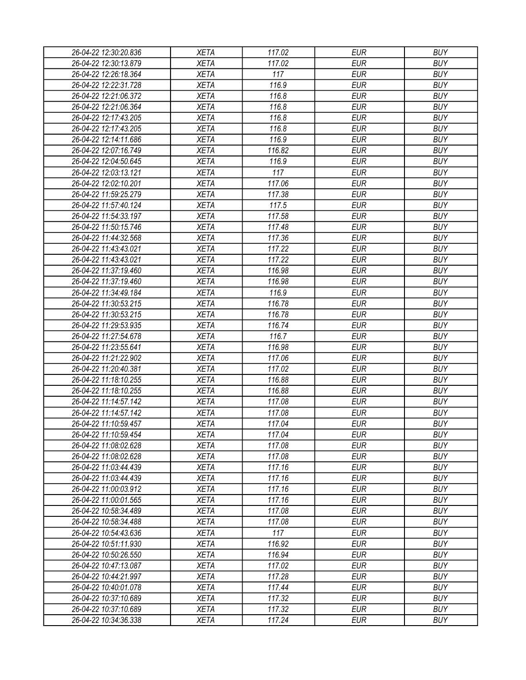| 26-04-22 12:30:20.836                          | <b>XETA</b>                | 117.02           | <b>EUR</b> | <b>BUY</b> |
|------------------------------------------------|----------------------------|------------------|------------|------------|
| 26-04-22 12:30:13.879                          | <b>XETA</b>                | 117.02           | <b>EUR</b> | <b>BUY</b> |
| 26-04-22 12:26:18.364                          | <b>XETA</b>                | 117              | <b>EUR</b> | <b>BUY</b> |
| 26-04-22 12:22:31.728                          | <b>XETA</b>                | 116.9            | <b>EUR</b> | <b>BUY</b> |
| 26-04-22 12:21:06.372                          | <b>XETA</b>                | 116.8            | <b>EUR</b> | <b>BUY</b> |
| 26-04-22 12:21:06.364                          | <b>XETA</b>                | 116.8            | <b>EUR</b> | <b>BUY</b> |
| 26-04-22 12:17:43.205                          | <b>XETA</b>                | 116.8            | <b>EUR</b> | <b>BUY</b> |
| 26-04-22 12:17:43.205                          | <b>XETA</b>                | 116.8            | <b>EUR</b> | <b>BUY</b> |
| 26-04-22 12:14:11.686                          | <b>XETA</b>                | 116.9            | <b>EUR</b> | <b>BUY</b> |
| 26-04-22 12:07:16.749                          | <b>XETA</b>                | 116.82           | <b>EUR</b> | <b>BUY</b> |
| 26-04-22 12:04:50.645                          | <b>XETA</b>                | 116.9            | <b>EUR</b> | <b>BUY</b> |
| 26-04-22 12:03:13.121                          | <b>XETA</b>                | 117              | <b>EUR</b> | <b>BUY</b> |
| 26-04-22 12:02:10.201                          | <b>XETA</b>                | 117.06           | <b>EUR</b> | <b>BUY</b> |
| 26-04-22 11:59:25.279                          | <b>XETA</b>                | 117.38           | <b>EUR</b> | <b>BUY</b> |
| 26-04-22 11:57:40.124                          | <b>XETA</b>                | 117.5            | <b>EUR</b> | <b>BUY</b> |
| 26-04-22 11:54:33.197                          | <b>XETA</b>                | 117.58           | <b>EUR</b> | <b>BUY</b> |
| 26-04-22 11:50:15.746                          | <b>XETA</b>                | 117.48           | <b>EUR</b> | <b>BUY</b> |
| 26-04-22 11:44:32.568                          | <b>XETA</b>                | 117.36           | <b>EUR</b> | <b>BUY</b> |
| 26-04-22 11:43:43.021                          | <b>XETA</b>                | 117.22           | <b>EUR</b> | <b>BUY</b> |
| 26-04-22 11:43:43.021                          | <b>XETA</b>                | 117.22           | <b>EUR</b> | <b>BUY</b> |
| 26-04-22 11:37:19.460                          | <b>XETA</b>                | 116.98           | <b>EUR</b> | <b>BUY</b> |
| 26-04-22 11:37:19.460                          | <b>XETA</b>                | 116.98           | <b>EUR</b> | <b>BUY</b> |
| 26-04-22 11:34:49.184                          | <b>XETA</b>                | 116.9            | <b>EUR</b> | <b>BUY</b> |
| 26-04-22 11:30:53.215                          | <b>XETA</b>                | 116.78           | <b>EUR</b> | <b>BUY</b> |
| 26-04-22 11:30:53.215                          | <b>XETA</b>                | 116.78           | <b>EUR</b> | <b>BUY</b> |
| 26-04-22 11:29:53.935                          | <b>XETA</b>                | 116.74           | <b>EUR</b> | <b>BUY</b> |
| 26-04-22 11:27:54.678                          | <b>XETA</b>                | 116.7            | <b>EUR</b> | <b>BUY</b> |
| 26-04-22 11:23:55.641                          | <b>XETA</b>                | 116.98           | <b>EUR</b> | <b>BUY</b> |
| 26-04-22 11:21:22.902                          | <b>XETA</b>                | 117.06           | <b>EUR</b> | <b>BUY</b> |
| 26-04-22 11:20:40.381                          | <b>XETA</b>                | 117.02           | <b>EUR</b> | <b>BUY</b> |
| 26-04-22 11:18:10.255                          | <b>XETA</b>                | 116.88           | <b>EUR</b> | <b>BUY</b> |
| 26-04-22 11:18:10.255                          | <b>XETA</b>                | 116.88           | <b>EUR</b> | <b>BUY</b> |
| 26-04-22 11:14:57.142                          | <b>XETA</b>                | 117.08           | <b>EUR</b> | <b>BUY</b> |
| 26-04-22 11:14:57.142                          | <b>XETA</b>                | 117.08           | <b>EUR</b> | <b>BUY</b> |
| 26-04-22 11:10:59.457                          | <b>XETA</b>                | 117.04           | <b>EUR</b> | <b>BUY</b> |
| 26-04-22 11:10:59.454                          | <b>XETA</b>                | 117.04           | <b>EUR</b> | <b>BUY</b> |
| 26-04-22 11:08:02.628                          | <b>XETA</b>                | 117.08           | <b>EUR</b> | <b>BUY</b> |
| 26-04-22 11:08:02.628                          | <b>XETA</b>                | 117.08           | <b>EUR</b> | <b>BUY</b> |
| 26-04-22 11:03:44.439                          | <b>XETA</b>                | 117.16           | <b>EUR</b> | <b>BUY</b> |
| 26-04-22 11:03:44.439                          | <b>XETA</b>                | 117.16           | <b>EUR</b> | <b>BUY</b> |
| 26-04-22 11:00:03.912                          | <b>XETA</b>                | 117.16           | <b>EUR</b> | <b>BUY</b> |
| 26-04-22 11:00:01.565                          | <b>XETA</b>                | 117.16           | <b>EUR</b> | <b>BUY</b> |
| 26-04-22 10:58:34.489                          | <b>XETA</b>                | 117.08           | <b>EUR</b> | <b>BUY</b> |
| 26-04-22 10:58:34.488                          | <b>XETA</b>                | 117.08           | <b>EUR</b> | <b>BUY</b> |
| 26-04-22 10:54:43.636                          | <b>XETA</b>                | 117              | <b>EUR</b> | <b>BUY</b> |
| 26-04-22 10:51:11.930                          | <b>XETA</b>                | 116.92           | <b>EUR</b> | <b>BUY</b> |
| 26-04-22 10:50:26.550                          | <b>XETA</b>                | 116.94           | <b>EUR</b> | <b>BUY</b> |
| 26-04-22 10:47:13.087                          | <b>XETA</b>                | 117.02           | <b>EUR</b> | <b>BUY</b> |
|                                                | <b>XETA</b>                | 117.28           | <b>EUR</b> | <b>BUY</b> |
| 26-04-22 10:44:21.997                          |                            |                  | <b>EUR</b> | <b>BUY</b> |
| 26-04-22 10:40:01.078<br>26-04-22 10:37:10.689 | <b>XETA</b><br><b>XETA</b> | 117.44<br>117.32 | EUR        | <b>BUY</b> |
|                                                | <b>XETA</b>                | 117.32           | <b>EUR</b> | <b>BUY</b> |
| 26-04-22 10:37:10.689                          |                            |                  |            |            |
| 26-04-22 10:34:36.338                          | <b>XETA</b>                | 117.24           | <b>EUR</b> | <b>BUY</b> |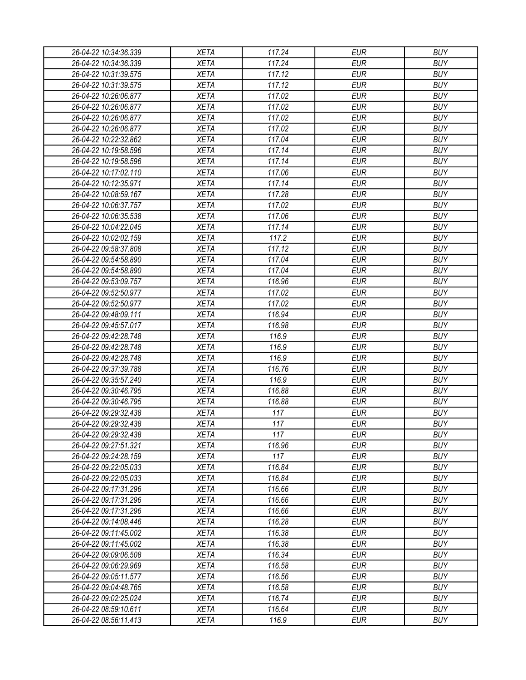| 26-04-22 10:34:36.339 | <b>XETA</b> | 117.24 | <b>EUR</b> | <b>BUY</b> |
|-----------------------|-------------|--------|------------|------------|
| 26-04-22 10:34:36.339 | <b>XETA</b> | 117.24 | <b>EUR</b> | <b>BUY</b> |
| 26-04-22 10:31:39.575 | <b>XETA</b> | 117.12 | <b>EUR</b> | <b>BUY</b> |
| 26-04-22 10:31:39.575 | <b>XETA</b> | 117.12 | <b>EUR</b> | <b>BUY</b> |
| 26-04-22 10:26:06.877 | <b>XETA</b> | 117.02 | <b>EUR</b> | <b>BUY</b> |
| 26-04-22 10:26:06.877 | <b>XETA</b> | 117.02 | <b>EUR</b> | <b>BUY</b> |
| 26-04-22 10:26:06.877 | <b>XETA</b> | 117.02 | <b>EUR</b> | <b>BUY</b> |
| 26-04-22 10:26:06.877 | <b>XETA</b> | 117.02 | <b>EUR</b> | <b>BUY</b> |
| 26-04-22 10:22:32.862 | <b>XETA</b> | 117.04 | <b>EUR</b> | <b>BUY</b> |
| 26-04-22 10:19:58.596 | <b>XETA</b> | 117.14 | <b>EUR</b> | <b>BUY</b> |
| 26-04-22 10:19:58.596 | <b>XETA</b> | 117.14 | <b>EUR</b> | <b>BUY</b> |
| 26-04-22 10:17:02.110 | <b>XETA</b> | 117.06 | <b>EUR</b> | <b>BUY</b> |
| 26-04-22 10:12:35.971 | <b>XETA</b> | 117.14 | <b>EUR</b> | <b>BUY</b> |
| 26-04-22 10:08:59.167 | <b>XETA</b> | 117.28 | <b>EUR</b> | <b>BUY</b> |
| 26-04-22 10:06:37.757 | <b>XETA</b> | 117.02 | <b>EUR</b> | <b>BUY</b> |
| 26-04-22 10:06:35.538 | <b>XETA</b> | 117.06 | <b>EUR</b> | <b>BUY</b> |
| 26-04-22 10:04:22.045 | <b>XETA</b> | 117.14 | <b>EUR</b> | <b>BUY</b> |
| 26-04-22 10:02:02.159 | <b>XETA</b> | 117.2  | <b>EUR</b> | <b>BUY</b> |
| 26-04-22 09:58:37.808 | <b>XETA</b> | 117.12 | <b>EUR</b> | <b>BUY</b> |
| 26-04-22 09:54:58.890 | <b>XETA</b> | 117.04 | <b>EUR</b> | <b>BUY</b> |
| 26-04-22 09:54:58.890 | <b>XETA</b> | 117.04 | <b>EUR</b> | <b>BUY</b> |
| 26-04-22 09:53:09.757 | <b>XETA</b> | 116.96 | <b>EUR</b> | <b>BUY</b> |
| 26-04-22 09:52:50.977 | <b>XETA</b> | 117.02 | <b>EUR</b> | <b>BUY</b> |
|                       |             |        | <b>EUR</b> | <b>BUY</b> |
| 26-04-22 09:52:50.977 | <b>XETA</b> | 117.02 |            |            |
| 26-04-22 09:48:09.111 | <b>XETA</b> | 116.94 | <b>EUR</b> | <b>BUY</b> |
| 26-04-22 09:45:57.017 | <b>XETA</b> | 116.98 | <b>EUR</b> | <b>BUY</b> |
| 26-04-22 09:42:28.748 | <b>XETA</b> | 116.9  | <b>EUR</b> | <b>BUY</b> |
| 26-04-22 09:42:28.748 | <b>XETA</b> | 116.9  | <b>EUR</b> | <b>BUY</b> |
| 26-04-22 09:42:28.748 | <b>XETA</b> | 116.9  | <b>EUR</b> | <b>BUY</b> |
| 26-04-22 09:37:39.788 | <b>XETA</b> | 116.76 | <b>EUR</b> | <b>BUY</b> |
| 26-04-22 09:35:57.240 | <b>XETA</b> | 116.9  | <b>EUR</b> | <b>BUY</b> |
| 26-04-22 09:30:46.795 | <b>XETA</b> | 116.88 | <b>EUR</b> | <b>BUY</b> |
| 26-04-22 09:30:46.795 | <b>XETA</b> | 116.88 | <b>EUR</b> | <b>BUY</b> |
| 26-04-22 09:29:32.438 | <b>XETA</b> | 117    | <b>EUR</b> | <b>BUY</b> |
| 26-04-22 09:29:32.438 | <b>XETA</b> | 117    | <b>EUR</b> | <b>BUY</b> |
| 26-04-22 09:29:32.438 | <b>XETA</b> | 117    | <b>EUR</b> | <b>BUY</b> |
| 26-04-22 09:27:51.321 | <b>XETA</b> | 116.96 | <b>EUR</b> | <b>BUY</b> |
| 26-04-22 09:24:28.159 | <b>XETA</b> | 117    | <b>EUR</b> | <b>BUY</b> |
| 26-04-22 09:22:05.033 | <b>XETA</b> | 116.84 | <b>EUR</b> | <b>BUY</b> |
| 26-04-22 09:22:05.033 | <b>XETA</b> | 116.84 | <b>EUR</b> | <b>BUY</b> |
| 26-04-22 09:17:31.296 | <b>XETA</b> | 116.66 | <b>EUR</b> | <b>BUY</b> |
| 26-04-22 09:17:31.296 | <b>XETA</b> | 116.66 | <b>EUR</b> | <b>BUY</b> |
| 26-04-22 09:17:31.296 | <b>XETA</b> | 116.66 | <b>EUR</b> | <b>BUY</b> |
| 26-04-22 09:14:08.446 | <b>XETA</b> | 116.28 | <b>EUR</b> | <b>BUY</b> |
| 26-04-22 09:11:45.002 | <b>XETA</b> | 116.38 | <b>EUR</b> | <b>BUY</b> |
| 26-04-22 09:11:45.002 | <b>XETA</b> | 116.38 | <b>EUR</b> | <b>BUY</b> |
| 26-04-22 09:09:06.508 | <b>XETA</b> | 116.34 | <b>EUR</b> | <b>BUY</b> |
| 26-04-22 09:06:29.969 | <b>XETA</b> | 116.58 | <b>EUR</b> | <b>BUY</b> |
| 26-04-22 09:05:11.577 | <b>XETA</b> | 116.56 | <b>EUR</b> | <b>BUY</b> |
| 26-04-22 09:04:48.765 | <b>XETA</b> | 116.58 | <b>EUR</b> | <b>BUY</b> |
| 26-04-22 09:02:25.024 | <b>XETA</b> | 116.74 | EUR        | <b>BUY</b> |
| 26-04-22 08:59:10.611 | <b>XETA</b> | 116.64 | <b>EUR</b> | <b>BUY</b> |
| 26-04-22 08:56:11.413 | <b>XETA</b> | 116.9  | <b>EUR</b> | <b>BUY</b> |